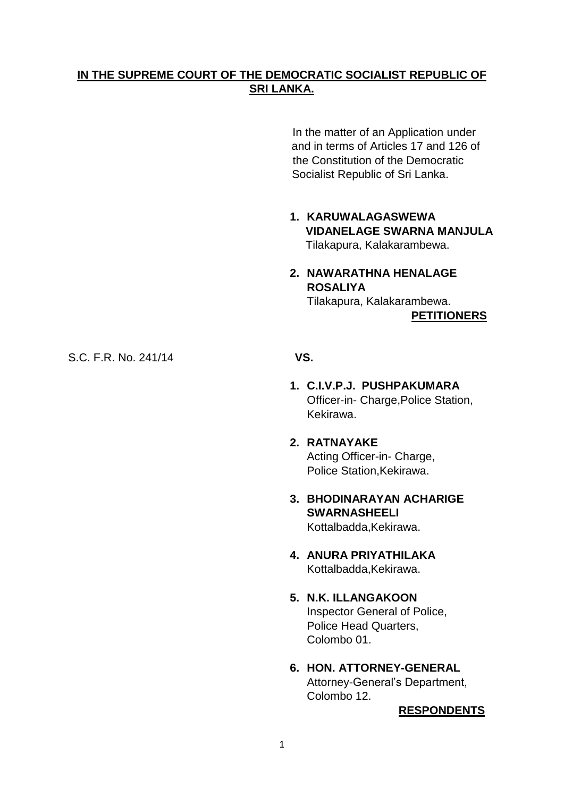## **IN THE SUPREME COURT OF THE DEMOCRATIC SOCIALIST REPUBLIC OF SRI LANKA.**

In the matter of an Application under and in terms of Articles 17 and 126 of the Constitution of the Democratic Socialist Republic of Sri Lanka.

- **1. KARUWALAGASWEWA VIDANELAGE SWARNA MANJULA** Tilakapura, Kalakarambewa.
- **2. NAWARATHNA HENALAGE ROSALIYA** Tilakapura, Kalakarambewa.

**PETITIONERS**

S.C. F.R. No. 241/14 **VS.**

- **1. C.I.V.P.J. PUSHPAKUMARA** Officer-in- Charge,Police Station, Kekirawa.
- **2. RATNAYAKE** Acting Officer-in- Charge, Police Station,Kekirawa.
- **3. BHODINARAYAN ACHARIGE SWARNASHEELI** Kottalbadda,Kekirawa.
- **4. ANURA PRIYATHILAKA** Kottalbadda,Kekirawa.
- **5. N.K. ILLANGAKOON** Inspector General of Police, Police Head Quarters, Colombo 01.
- **6. HON. ATTORNEY-GENERAL** Attorney-General"s Department, Colombo 12.

**RESPONDENTS**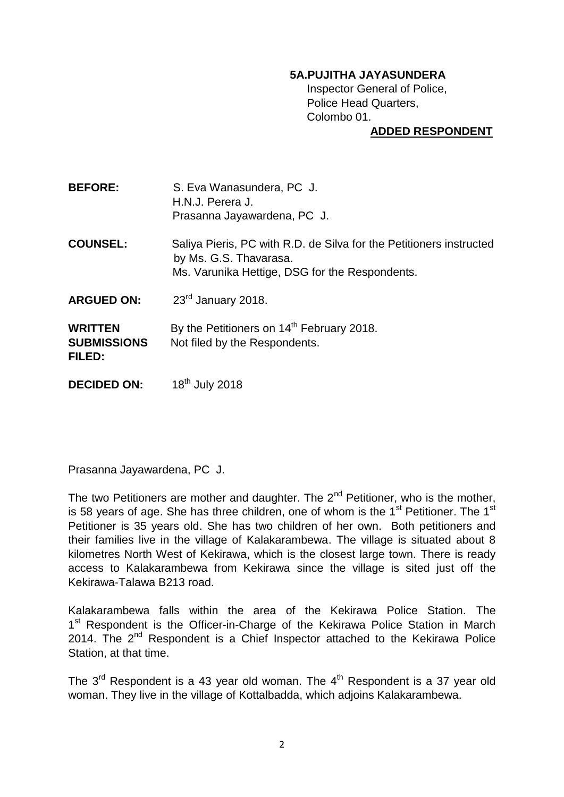## **5A.PUJITHA JAYASUNDERA**

Inspector General of Police, Police Head Quarters, Colombo 01.

## **ADDED RESPONDENT**

| <b>BEFORE:</b> | S. Eva Wanasundera, PC J.   |
|----------------|-----------------------------|
|                | H.N.J. Perera J.            |
|                | Prasanna Jayawardena, PC J. |

**COUNSEL:** Saliya Pieris, PC with R.D. de Silva for the Petitioners instructed by Ms. G.S. Thavarasa. Ms. Varunika Hettige, DSG for the Respondents.

**ARGUED ON:** 23rd January 2018.

**WRITTEN** By the Petitioners on 14<sup>th</sup> February 2018. **SUBMISSIONS** Not filed by the Respondents. **FILED:** 

**DECIDED ON:** 18<sup>th</sup> July 2018

Prasanna Jayawardena, PC J.

The two Petitioners are mother and daughter. The  $2^{nd}$  Petitioner, who is the mother, is 58 years of age. She has three children, one of whom is the  $1<sup>st</sup>$  Petitioner. The  $1<sup>st</sup>$ Petitioner is 35 years old. She has two children of her own. Both petitioners and their families live in the village of Kalakarambewa. The village is situated about 8 kilometres North West of Kekirawa, which is the closest large town. There is ready access to Kalakarambewa from Kekirawa since the village is sited just off the Kekirawa-Talawa B213 road.

Kalakarambewa falls within the area of the Kekirawa Police Station. The 1<sup>st</sup> Respondent is the Officer-in-Charge of the Kekirawa Police Station in March 2014. The  $2^{nd}$  Respondent is a Chief Inspector attached to the Kekirawa Police Station, at that time.

The  $3^{rd}$  Respondent is a 43 year old woman. The  $4^{th}$  Respondent is a 37 year old woman. They live in the village of Kottalbadda, which adjoins Kalakarambewa.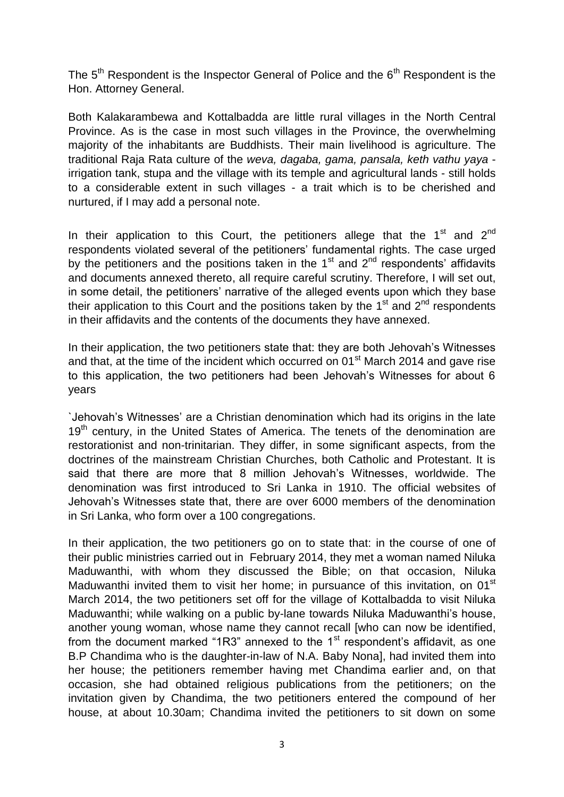The  $5<sup>th</sup>$  Respondent is the Inspector General of Police and the  $6<sup>th</sup>$  Respondent is the Hon. Attorney General.

Both Kalakarambewa and Kottalbadda are little rural villages in the North Central Province. As is the case in most such villages in the Province, the overwhelming majority of the inhabitants are Buddhists. Their main livelihood is agriculture. The traditional Raja Rata culture of the *weva, dagaba, gama, pansala, keth vathu yaya* irrigation tank, stupa and the village with its temple and agricultural lands - still holds to a considerable extent in such villages - a trait which is to be cherished and nurtured, if I may add a personal note.

In their application to this Court, the petitioners allege that the 1<sup>st</sup> and 2<sup>nd</sup> respondents violated several of the petitioners" fundamental rights. The case urged by the petitioners and the positions taken in the  $1<sup>st</sup>$  and  $2<sup>nd</sup>$  respondents' affidavits and documents annexed thereto, all require careful scrutiny. Therefore, I will set out, in some detail, the petitioners' narrative of the alleged events upon which they base their application to this Court and the positions taken by the 1<sup>st</sup> and 2<sup>nd</sup> respondents in their affidavits and the contents of the documents they have annexed.

In their application, the two petitioners state that: they are both Jehovah's Witnesses and that, at the time of the incident which occurred on 01<sup>st</sup> March 2014 and gave rise to this application, the two petitioners had been Jehovah's Witnesses for about 6 years

`Jehovah"s Witnesses" are a Christian denomination which had its origins in the late 19<sup>th</sup> century, in the United States of America. The tenets of the denomination are restorationist and non-trinitarian. They differ, in some significant aspects, from the doctrines of the mainstream Christian Churches, both Catholic and Protestant. It is said that there are more that 8 million Jehovah"s Witnesses, worldwide. The denomination was first introduced to Sri Lanka in 1910. The official websites of Jehovah"s Witnesses state that, there are over 6000 members of the denomination in Sri Lanka, who form over a 100 congregations.

In their application, the two petitioners go on to state that: in the course of one of their public ministries carried out in February 2014, they met a woman named Niluka Maduwanthi, with whom they discussed the Bible; on that occasion, Niluka Maduwanthi invited them to visit her home; in pursuance of this invitation, on 01<sup>st</sup> March 2014, the two petitioners set off for the village of Kottalbadda to visit Niluka Maduwanthi; while walking on a public by-lane towards Niluka Maduwanthi"s house, another young woman, whose name they cannot recall [who can now be identified, from the document marked "1R3" annexed to the  $1<sup>st</sup>$  respondent's affidavit, as one B.P Chandima who is the daughter-in-law of N.A. Baby Nona], had invited them into her house; the petitioners remember having met Chandima earlier and, on that occasion, she had obtained religious publications from the petitioners; on the invitation given by Chandima, the two petitioners entered the compound of her house, at about 10.30am; Chandima invited the petitioners to sit down on some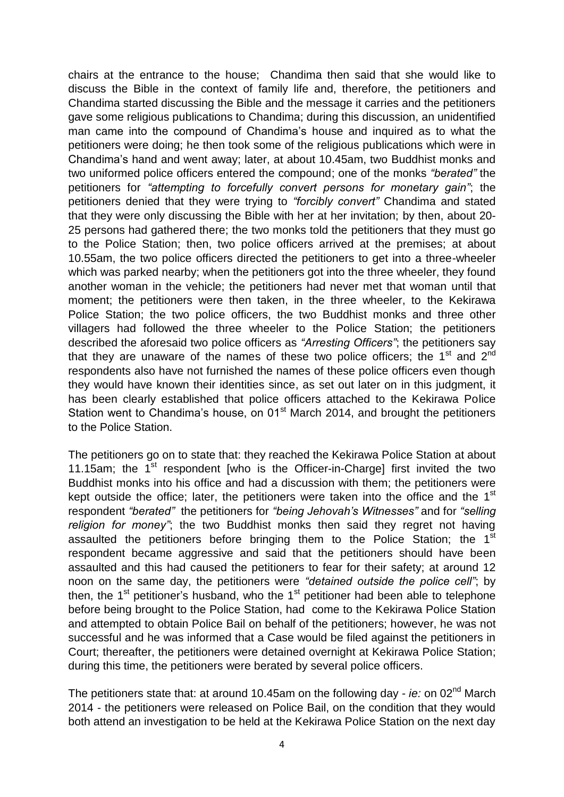chairs at the entrance to the house; Chandima then said that she would like to discuss the Bible in the context of family life and, therefore, the petitioners and Chandima started discussing the Bible and the message it carries and the petitioners gave some religious publications to Chandima; during this discussion, an unidentified man came into the compound of Chandima's house and inquired as to what the petitioners were doing; he then took some of the religious publications which were in Chandima"s hand and went away; later, at about 10.45am, two Buddhist monks and two uniformed police officers entered the compound; one of the monks *"berated"* the petitioners for *"attempting to forcefully convert persons for monetary gain"*; the petitioners denied that they were trying to *"forcibly convert"* Chandima and stated that they were only discussing the Bible with her at her invitation; by then, about 20- 25 persons had gathered there; the two monks told the petitioners that they must go to the Police Station; then, two police officers arrived at the premises; at about 10.55am, the two police officers directed the petitioners to get into a three-wheeler which was parked nearby; when the petitioners got into the three wheeler, they found another woman in the vehicle; the petitioners had never met that woman until that moment; the petitioners were then taken, in the three wheeler, to the Kekirawa Police Station; the two police officers, the two Buddhist monks and three other villagers had followed the three wheeler to the Police Station; the petitioners described the aforesaid two police officers as *"Arresting Officers"*; the petitioners say that they are unaware of the names of these two police officers; the  $1<sup>st</sup>$  and  $2<sup>nd</sup>$ respondents also have not furnished the names of these police officers even though they would have known their identities since, as set out later on in this judgment, it has been clearly established that police officers attached to the Kekirawa Police Station went to Chandima's house, on  $01<sup>st</sup>$  March 2014, and brought the petitioners to the Police Station.

The petitioners go on to state that: they reached the Kekirawa Police Station at about 11.15am; the  $1<sup>st</sup>$  respondent [who is the Officer-in-Charge] first invited the two Buddhist monks into his office and had a discussion with them; the petitioners were kept outside the office; later, the petitioners were taken into the office and the  $1<sup>st</sup>$ respondent *"berated"* the petitioners for *"being Jehovah"s Witnesses"* and for *"selling religion for money"*; the two Buddhist monks then said they regret not having assaulted the petitioners before bringing them to the Police Station; the 1<sup>st</sup> respondent became aggressive and said that the petitioners should have been assaulted and this had caused the petitioners to fear for their safety; at around 12 noon on the same day, the petitioners were *"detained outside the police cell"*; by then, the  $1<sup>st</sup>$  petitioner's husband, who the  $1<sup>st</sup>$  petitioner had been able to telephone before being brought to the Police Station, had come to the Kekirawa Police Station and attempted to obtain Police Bail on behalf of the petitioners; however, he was not successful and he was informed that a Case would be filed against the petitioners in Court; thereafter, the petitioners were detained overnight at Kekirawa Police Station; during this time, the petitioners were berated by several police officers.

The petitioners state that: at around 10.45am on the following day - *ie:* on 02nd March 2014 - the petitioners were released on Police Bail, on the condition that they would both attend an investigation to be held at the Kekirawa Police Station on the next day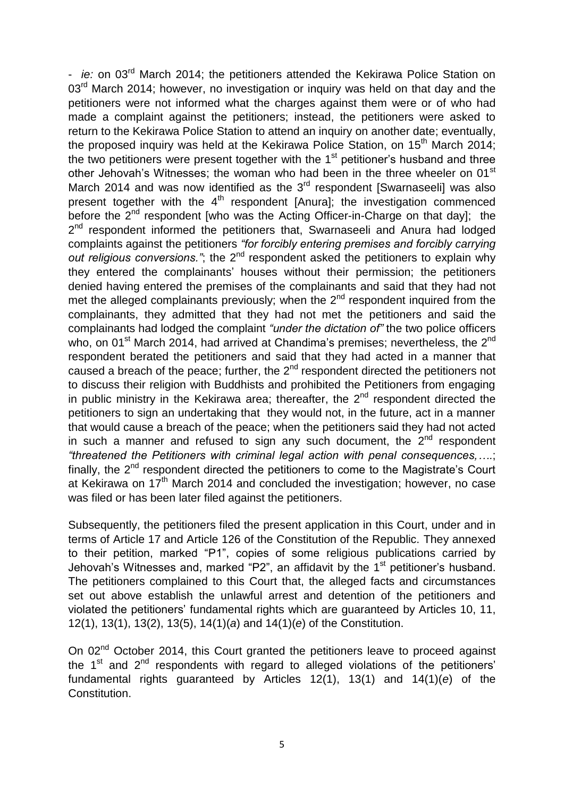- *ie:* on 03rd March 2014; the petitioners attended the Kekirawa Police Station on 03<sup>rd</sup> March 2014; however, no investigation or inquiry was held on that day and the petitioners were not informed what the charges against them were or of who had made a complaint against the petitioners; instead, the petitioners were asked to return to the Kekirawa Police Station to attend an inquiry on another date; eventually, the proposed inquiry was held at the Kekirawa Police Station, on 15<sup>th</sup> March 2014; the two petitioners were present together with the  $1<sup>st</sup>$  petitioner's husband and three other Jehovah's Witnesses; the woman who had been in the three wheeler on 01<sup>st</sup> March 2014 and was now identified as the  $3<sup>rd</sup>$  respondent [Swarnaseeli] was also present together with the  $4<sup>th</sup>$  respondent [Anura]; the investigation commenced before the 2<sup>nd</sup> respondent [who was the Acting Officer-in-Charge on that day]; the 2<sup>nd</sup> respondent informed the petitioners that, Swarnaseeli and Anura had lodged complaints against the petitioners *"for forcibly entering premises and forcibly carrying*  out religious conversions."; the 2<sup>nd</sup> respondent asked the petitioners to explain why they entered the complainants" houses without their permission; the petitioners denied having entered the premises of the complainants and said that they had not met the alleged complainants previously; when the  $2^{nd}$  respondent inquired from the complainants, they admitted that they had not met the petitioners and said the complainants had lodged the complaint *"under the dictation of"* the two police officers who, on 01<sup>st</sup> March 2014, had arrived at Chandima's premises; nevertheless, the 2<sup>nd</sup> respondent berated the petitioners and said that they had acted in a manner that caused a breach of the peace; further, the  $2<sup>nd</sup>$  respondent directed the petitioners not to discuss their religion with Buddhists and prohibited the Petitioners from engaging in public ministry in the Kekirawa area; thereafter, the  $2<sup>nd</sup>$  respondent directed the petitioners to sign an undertaking that they would not, in the future, act in a manner that would cause a breach of the peace; when the petitioners said they had not acted in such a manner and refused to sign any such document, the  $2^{nd}$  respondent *"threatened the Petitioners with criminal legal action with penal consequences,….*; finally, the 2<sup>nd</sup> respondent directed the petitioners to come to the Magistrate's Court at Kekirawa on 17<sup>th</sup> March 2014 and concluded the investigation; however, no case was filed or has been later filed against the petitioners.

Subsequently, the petitioners filed the present application in this Court, under and in terms of Article 17 and Article 126 of the Constitution of the Republic. They annexed to their petition, marked "P1", copies of some religious publications carried by Jehovah's Witnesses and, marked "P2", an affidavit by the  $1<sup>st</sup>$  petitioner's husband. The petitioners complained to this Court that, the alleged facts and circumstances set out above establish the unlawful arrest and detention of the petitioners and violated the petitioners" fundamental rights which are guaranteed by Articles 10, 11, 12(1), 13(1), 13(2), 13(5), 14(1)(*a*) and 14(1)(*e*) of the Constitution.

On 02<sup>nd</sup> October 2014, this Court granted the petitioners leave to proceed against the  $1<sup>st</sup>$  and  $2<sup>nd</sup>$  respondents with regard to alleged violations of the petitioners' fundamental rights guaranteed by Articles 12(1), 13(1) and 14(1)(*e*) of the Constitution.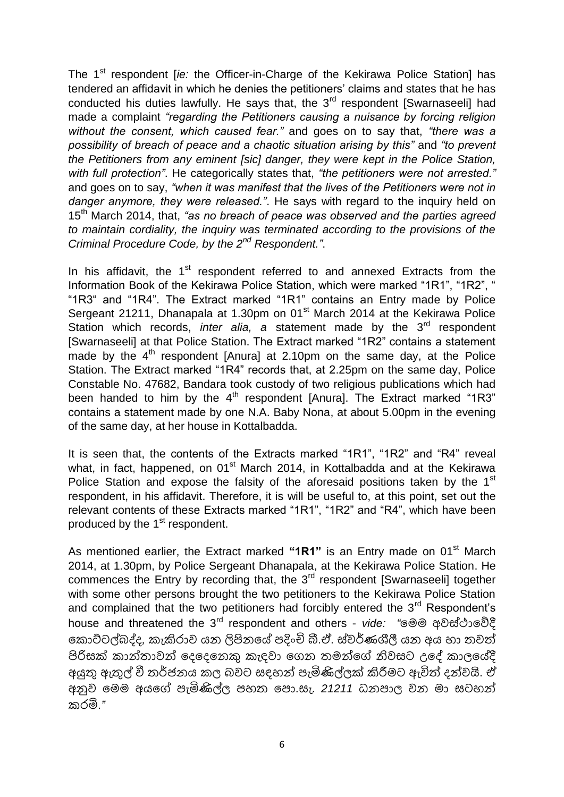The 1<sup>st</sup> respondent [*ie:* the Officer-in-Charge of the Kekirawa Police Station] has tendered an affidavit in which he denies the petitioners" claims and states that he has conducted his duties lawfully. He says that, the 3<sup>rd</sup> respondent [Swarnaseeli] had made a complaint *"regarding the Petitioners causing a nuisance by forcing religion without the consent, which caused fear."* and goes on to say that, *"there was a possibility of breach of peace and a chaotic situation arising by this"* and *"to prevent the Petitioners from any eminent [sic] danger, they were kept in the Police Station, with full protection"*. He categorically states that, *"the petitioners were not arrested."* and goes on to say, *"when it was manifest that the lives of the Petitioners were not in danger anymore, they were released."*. He says with regard to the inquiry held on 15th March 2014, that, *"as no breach of peace was observed and the parties agreed to maintain cordiality, the inquiry was terminated according to the provisions of the Criminal Procedure Code, by the 2nd Respondent."*.

In his affidavit, the  $1<sup>st</sup>$  respondent referred to and annexed Extracts from the Information Book of the Kekirawa Police Station, which were marked "1R1", "1R2", " "1R3" and "1R4". The Extract marked "1R1" contains an Entry made by Police Sergeant 21211, Dhanapala at 1.30pm on 01<sup>st</sup> March 2014 at the Kekirawa Police Station which records, *inter alia*, a statement made by the 3<sup>rd</sup> respondent [Swarnaseeli] at that Police Station. The Extract marked "1R2" contains a statement made by the  $4<sup>th</sup>$  respondent [Anura] at 2.10pm on the same day, at the Police Station. The Extract marked "1R4" records that, at 2.25pm on the same day, Police Constable No. 47682, Bandara took custody of two religious publications which had been handed to him by the  $4<sup>th</sup>$  respondent [Anura]. The Extract marked "1R3" contains a statement made by one N.A. Baby Nona, at about 5.00pm in the evening of the same day, at her house in Kottalbadda.

It is seen that, the contents of the Extracts marked "1R1", "1R2" and "R4" reveal what, in fact, happened, on 01<sup>st</sup> March 2014, in Kottalbadda and at the Kekirawa Police Station and expose the falsity of the aforesaid positions taken by the 1<sup>st</sup> respondent, in his affidavit. Therefore, it is will be useful to, at this point, set out the relevant contents of these Extracts marked "1R1", "1R2" and "R4", which have been produced by the 1<sup>st</sup> respondent.

As mentioned earlier, the Extract marked "1R1" is an Entry made on 01<sup>st</sup> March 2014, at 1.30pm, by Police Sergeant Dhanapala, at the Kekirawa Police Station. He commences the Entry by recording that, the  $3<sup>rd</sup>$  respondent [Swarnaseeli] together with some other persons brought the two petitioners to the Kekirawa Police Station and complained that the two petitioners had forcibly entered the  $3<sup>rd</sup>$  Respondent's house and threatened the 3rd respondent and others - *vide: "*මෙෙ අවස්ථාමේදී ම ොට්ටල්බද්ද*,* ැකිරාව යන ලිපිනමේ ඳදිංචි බී.ඒ. ස්වර්ණශීලී යන අය හා තවත් පිරිසක් කාන්තාවන් දෙදෙනෙකු කැදවා ගෙන තමන්ගේ නිවසට උදේ කාලයේදී අයුතු ඇතුල් වී තර්ජනය ල බවට සහන් ඳැමිණිල්ලක් කිරීෙට ඇවිත් දන්වයි. ඒ අනුව මෙෙ අයමේ ඳැමිණිල්ල ඳහත මඳො.සැ. *21211* ධනඳාල වන ො සටහන් රමි.*"*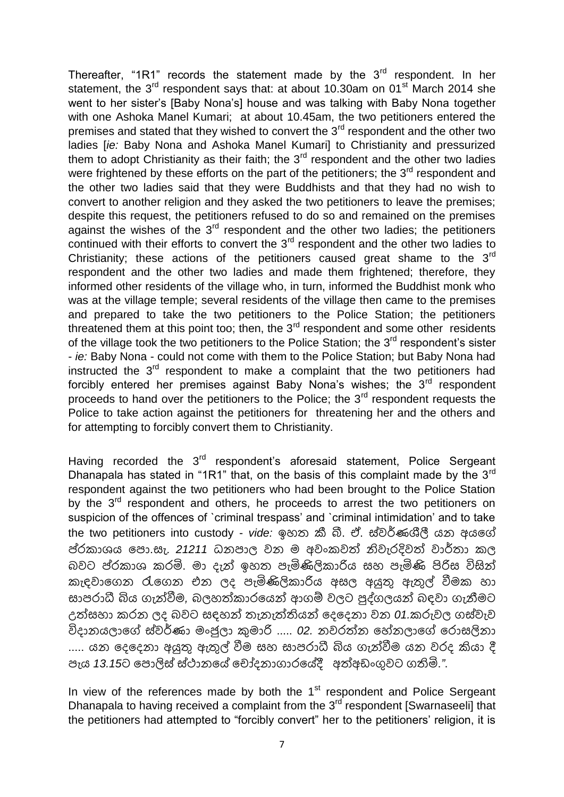Thereafter, "1R1" records the statement made by the  $3<sup>rd</sup>$  respondent. In her statement, the  $3^{rd}$  respondent says that: at about 10.30am on 01 $^{st}$  March 2014 she went to her sister's [Baby Nona's] house and was talking with Baby Nona together with one Ashoka Manel Kumari; at about 10.45am, the two petitioners entered the premises and stated that they wished to convert the  $3<sup>rd</sup>$  respondent and the other two ladies [*ie:* Baby Nona and Ashoka Manel Kumari] to Christianity and pressurized them to adopt Christianity as their faith; the  $3<sup>rd</sup>$  respondent and the other two ladies were frightened by these efforts on the part of the petitioners; the  $3<sup>rd</sup>$  respondent and the other two ladies said that they were Buddhists and that they had no wish to convert to another religion and they asked the two petitioners to leave the premises; despite this request, the petitioners refused to do so and remained on the premises against the wishes of the  $3<sup>rd</sup>$  respondent and the other two ladies; the petitioners continued with their efforts to convert the  $3<sup>rd</sup>$  respondent and the other two ladies to Christianity; these actions of the petitioners caused great shame to the  $3<sup>rd</sup>$ respondent and the other two ladies and made them frightened; therefore, they informed other residents of the village who, in turn, informed the Buddhist monk who was at the village temple; several residents of the village then came to the premises and prepared to take the two petitioners to the Police Station; the petitioners threatened them at this point too; then, the  $3<sup>rd</sup>$  respondent and some other residents of the village took the two petitioners to the Police Station; the  $3<sup>rd</sup>$  respondent's sister - *ie:* Baby Nona - could not come with them to the Police Station; but Baby Nona had instructed the  $3<sup>rd</sup>$  respondent to make a complaint that the two petitioners had forcibly entered her premises against Baby Nona's wishes; the  $3<sup>rd</sup>$  respondent proceeds to hand over the petitioners to the Police; the 3rd respondent requests the Police to take action against the petitioners for threatening her and the others and for attempting to forcibly convert them to Christianity.

Having recorded the 3<sup>rd</sup> respondent's aforesaid statement. Police Sergeant Dhanapala has stated in "1R1" that, on the basis of this complaint made by the 3<sup>rd</sup> respondent against the two petitioners who had been brought to the Police Station by the  $3<sup>rd</sup>$  respondent and others, he proceeds to arrest the two petitioners on suspicion of the offences of `criminal trespass' and `criminal intimidation' and to take the two petitioners into custody - *vide:* ඉහත කී බී. ඒ. ස්වර්ණශීලී යන අයමේ ප්රකාශය පො.සැ. 2*1*211 ධනපාල වන ම අවංකවත් නිවැරදිවත් වාර්තා කල බවට ප්ර ාශ රමි. ො දැන් ඉහත ඳැමිණිලි ාරිය සහ ඳැමිණි පිරිස විසින් කැඳවාගෙන රැගෙන එන ලද පැමිණිලිකාරිය අසල අයුතු ඇතුල් වීමක හා සාපරාධී බිය ගැන්වීම, බලහත්කාරයෙන් ආගම් වලට පුද්ගලයන් බදවා ගැනීමට උත්සහා රන ලද බවට සහන් තැනැත්තියන් මදමදනා වන *01.* රුවල ෙස්වැව විදානයලාමේ ස්වර්ණා ෙිංජුලා කුොරි ..... *02.* නවරත්න මේනලාමේ මරොසලිනා ..... යන දෙදෙනා අයුතු ඇතුල් වීම සහ සාපරාධී බිය ගැන්වීම යන වරද කියා දී ඳැය *13.15*ට මඳොලිස් ස්ථානමේ ම ෝදනාොරමේදී අත්අඩිංගුවට ෙතිමි.*"*.

In view of the references made by both the  $1<sup>st</sup>$  respondent and Police Sergeant Dhanapala to having received a complaint from the  $3<sup>rd</sup>$  respondent [Swarnaseeli] that the petitioners had attempted to "forcibly convert" her to the petitioners' religion, it is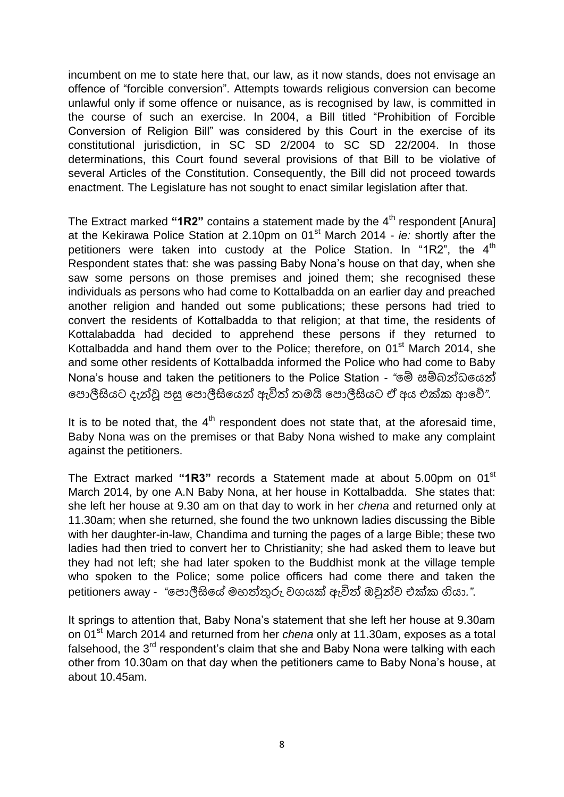incumbent on me to state here that, our law, as it now stands, does not envisage an offence of "forcible conversion". Attempts towards religious conversion can become unlawful only if some offence or nuisance, as is recognised by law, is committed in the course of such an exercise. In 2004, a Bill titled "Prohibition of Forcible Conversion of Religion Bill" was considered by this Court in the exercise of its constitutional jurisdiction, in SC SD 2/2004 to SC SD 22/2004. In those determinations, this Court found several provisions of that Bill to be violative of several Articles of the Constitution. Consequently, the Bill did not proceed towards enactment. The Legislature has not sought to enact similar legislation after that.

The Extract marked "1R2" contains a statement made by the 4<sup>th</sup> respondent [Anura] at the Kekirawa Police Station at 2.10pm on 01st March 2014 - *ie:* shortly after the petitioners were taken into custody at the Police Station. In "1R2", the  $4<sup>th</sup>$ Respondent states that: she was passing Baby Nona"s house on that day, when she saw some persons on those premises and joined them; she recognised these individuals as persons who had come to Kottalbadda on an earlier day and preached another religion and handed out some publications; these persons had tried to convert the residents of Kottalbadda to that religion; at that time, the residents of Kottalabadda had decided to apprehend these persons if they returned to Kottalbadda and hand them over to the Police; therefore, on  $01<sup>st</sup>$  March 2014, she and some other residents of Kottalbadda informed the Police who had come to Baby Nona"s house and taken the petitioners to the Police Station - *"*මම් සම්බන්ධමයන් මඳොලීසියට දැන්ව ඳසු මඳොලීසිමයන් ඇවිත් තෙයි මඳොලීසියට ඒ අය එක් ආමේ*"*.

It is to be noted that, the  $4<sup>th</sup>$  respondent does not state that, at the aforesaid time, Baby Nona was on the premises or that Baby Nona wished to make any complaint against the petitioners.

The Extract marked **"1R3"** records a Statement made at about 5.00pm on 01st March 2014, by one A.N Baby Nona, at her house in Kottalbadda. She states that: she left her house at 9.30 am on that day to work in her *chena* and returned only at 11.30am; when she returned, she found the two unknown ladies discussing the Bible with her daughter-in-law, Chandima and turning the pages of a large Bible; these two ladies had then tried to convert her to Christianity; she had asked them to leave but they had not left; she had later spoken to the Buddhist monk at the village temple who spoken to the Police; some police officers had come there and taken the petitioners away - *"*පොලීසියේ මහත්තුරු වගයක් ඇවිත් ඔවුන්ව එක්ක ගියා.".

It springs to attention that, Baby Nona"s statement that she left her house at 9.30am on 01st March 2014 and returned from her *chena* only at 11.30am, exposes as a total falsehood, the 3<sup>rd</sup> respondent's claim that she and Baby Nona were talking with each other from 10.30am on that day when the petitioners came to Baby Nona"s house, at about 10.45am.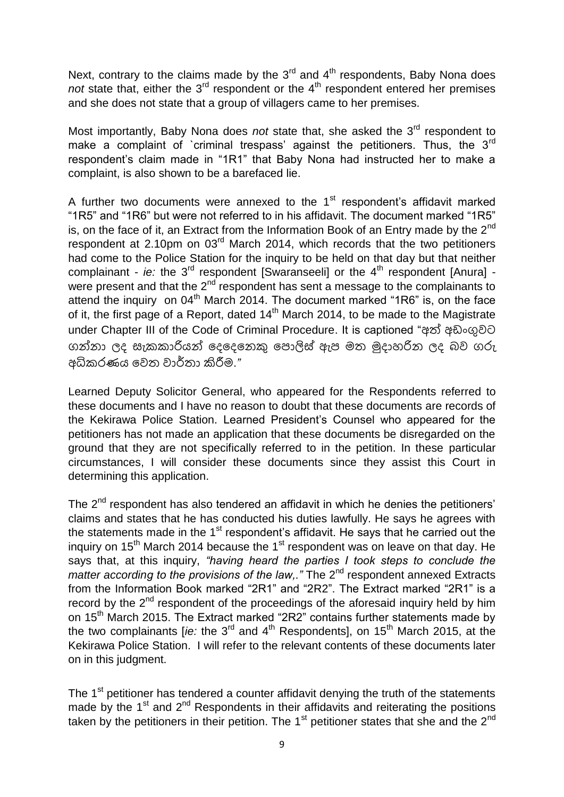Next, contrary to the claims made by the  $3<sup>rd</sup>$  and  $4<sup>th</sup>$  respondents, Baby Nona does *not* state that, either the 3<sup>rd</sup> respondent or the 4<sup>th</sup> respondent entered her premises and she does not state that a group of villagers came to her premises.

Most importantly, Baby Nona does *not* state that, she asked the 3<sup>rd</sup> respondent to make a complaint of `criminal trespass' against the petitioners. Thus, the  $3<sup>rd</sup>$ respondent"s claim made in "1R1" that Baby Nona had instructed her to make a complaint, is also shown to be a barefaced lie.

A further two documents were annexed to the  $1<sup>st</sup>$  respondent's affidavit marked "1R5" and "1R6" but were not referred to in his affidavit. The document marked "1R5" is, on the face of it, an Extract from the Information Book of an Entry made by the  $2^{nd}$ respondent at 2.10pm on  $03<sup>rd</sup>$  March 2014, which records that the two petitioners had come to the Police Station for the inquiry to be held on that day but that neither complainant -  $ie$ : the 3<sup>rd</sup> respondent [Swaranseeli] or the 4<sup>th</sup> respondent [Anura] were present and that the  $2^{nd}$  respondent has sent a message to the complainants to attend the inquiry on 04<sup>th</sup> March 2014. The document marked "1R6" is, on the face of it, the first page of a Report, dated 14<sup>th</sup> March 2014, to be made to the Magistrate under Chapter III of the Code of Criminal Procedure. It is captioned "අත් අඩිංගුවට ගන්නා ලද සැකකාරියන් දෙදෙනෙකු පොලිස් ඇප මත මුදාහරින ලද බව ගරු අධි රණය මවත වාර්තා කිරීෙ.*"*

Learned Deputy Solicitor General, who appeared for the Respondents referred to these documents and I have no reason to doubt that these documents are records of the Kekirawa Police Station. Learned President"s Counsel who appeared for the petitioners has not made an application that these documents be disregarded on the ground that they are not specifically referred to in the petition. In these particular circumstances, I will consider these documents since they assist this Court in determining this application.

The  $2<sup>nd</sup>$  respondent has also tendered an affidavit in which he denies the petitioners' claims and states that he has conducted his duties lawfully. He says he agrees with the statements made in the 1<sup>st</sup> respondent's affidavit. He says that he carried out the inquiry on  $15<sup>th</sup>$  March 2014 because the 1<sup>st</sup> respondent was on leave on that day. He says that, at this inquiry, *"having heard the parties I took steps to conclude the matter according to the provisions of the law,.*" The 2<sup>nd</sup> respondent annexed Extracts from the Information Book marked "2R1" and "2R2". The Extract marked "2R1" is a record by the 2<sup>nd</sup> respondent of the proceedings of the aforesaid inquiry held by him on 15<sup>th</sup> March 2015. The Extract marked "2R2" contains further statements made by the two complainants *[ie:* the 3<sup>rd</sup> and 4<sup>th</sup> Respondents], on 15<sup>th</sup> March 2015, at the Kekirawa Police Station. I will refer to the relevant contents of these documents later on in this judgment.

The 1<sup>st</sup> petitioner has tendered a counter affidavit denying the truth of the statements made by the  $1<sup>st</sup>$  and  $2<sup>nd</sup>$  Respondents in their affidavits and reiterating the positions taken by the petitioners in their petition. The 1<sup>st</sup> petitioner states that she and the 2<sup>nd</sup>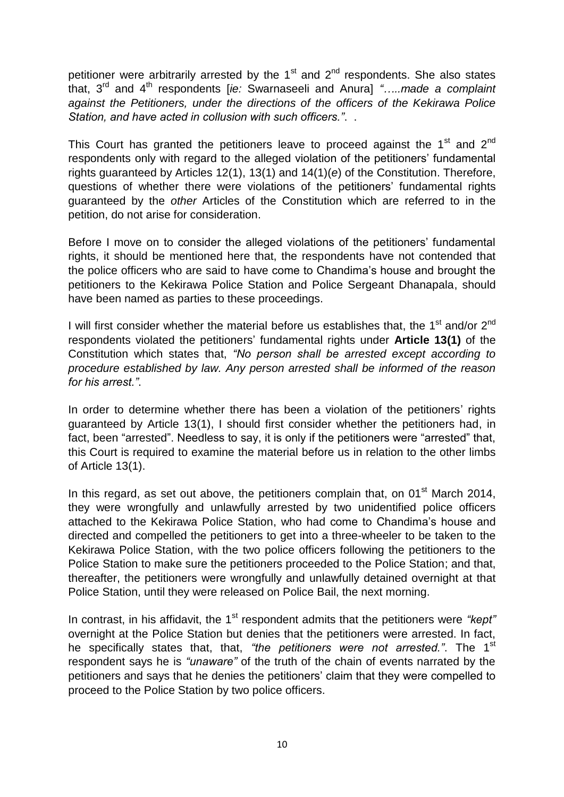petitioner were arbitrarily arrested by the  $1<sup>st</sup>$  and  $2<sup>nd</sup>$  respondents. She also states that, 3 rd and 4th respondents [*ie:* Swarnaseeli and Anura] *"…..made a complaint against the Petitioners, under the directions of the officers of the Kekirawa Police Station, and have acted in collusion with such officers."*..

This Court has granted the petitioners leave to proceed against the  $1<sup>st</sup>$  and  $2<sup>nd</sup>$ respondents only with regard to the alleged violation of the petitioners" fundamental rights guaranteed by Articles 12(1), 13(1) and 14(1)(*e*) of the Constitution. Therefore, questions of whether there were violations of the petitioners' fundamental rights guaranteed by the *other* Articles of the Constitution which are referred to in the petition, do not arise for consideration.

Before I move on to consider the alleged violations of the petitioners' fundamental rights, it should be mentioned here that, the respondents have not contended that the police officers who are said to have come to Chandima"s house and brought the petitioners to the Kekirawa Police Station and Police Sergeant Dhanapala, should have been named as parties to these proceedings.

I will first consider whether the material before us establishes that, the  $1<sup>st</sup>$  and/or  $2<sup>nd</sup>$ respondents violated the petitioners" fundamental rights under **Article 13(1)** of the Constitution which states that, *"No person shall be arrested except according to procedure established by law. Any person arrested shall be informed of the reason for his arrest."*.

In order to determine whether there has been a violation of the petitioners' rights guaranteed by Article 13(1), I should first consider whether the petitioners had, in fact, been "arrested". Needless to say, it is only if the petitioners were "arrested" that, this Court is required to examine the material before us in relation to the other limbs of Article 13(1).

In this regard, as set out above, the petitioners complain that, on  $01<sup>st</sup>$  March 2014, they were wrongfully and unlawfully arrested by two unidentified police officers attached to the Kekirawa Police Station, who had come to Chandima"s house and directed and compelled the petitioners to get into a three-wheeler to be taken to the Kekirawa Police Station, with the two police officers following the petitioners to the Police Station to make sure the petitioners proceeded to the Police Station; and that, thereafter, the petitioners were wrongfully and unlawfully detained overnight at that Police Station, until they were released on Police Bail, the next morning.

In contrast, in his affidavit, the 1<sup>st</sup> respondent admits that the petitioners were "kept" overnight at the Police Station but denies that the petitioners were arrested. In fact, he specifically states that, that, *"the petitioners were not arrested."*. The 1st respondent says he is *"unaware"* of the truth of the chain of events narrated by the petitioners and says that he denies the petitioners" claim that they were compelled to proceed to the Police Station by two police officers.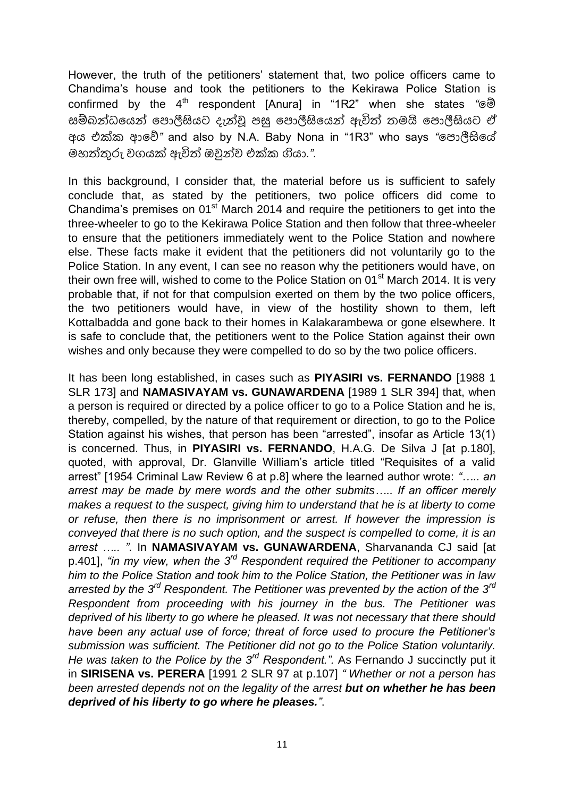However, the truth of the petitioners" statement that, two police officers came to Chandima"s house and took the petitioners to the Kekirawa Police Station is confirmed by the 4th respondent [Anura] in "1R2" when she states *"*මම් සම්බන්ධමයන් මඳොලීසියට දැන්ව ඳසු මඳොලීසිමයන් ඇවිත් තෙයි මඳොලීසියට ඒ අය එක් ආමේ*"* and also by N.A. Baby Nona in "1R3" who says *"*මඳොලීසිමේ ෙහත්තුරු වෙයක් ඇවිත් ඔවුන්ව එක් ගියා*."*.

In this background, I consider that, the material before us is sufficient to safely conclude that, as stated by the petitioners, two police officers did come to Chandima's premises on  $01<sup>st</sup>$  March 2014 and require the petitioners to get into the three-wheeler to go to the Kekirawa Police Station and then follow that three-wheeler to ensure that the petitioners immediately went to the Police Station and nowhere else. These facts make it evident that the petitioners did not voluntarily go to the Police Station. In any event, I can see no reason why the petitioners would have, on their own free will, wished to come to the Police Station on  $01<sup>st</sup>$  March 2014. It is very probable that, if not for that compulsion exerted on them by the two police officers, the two petitioners would have, in view of the hostility shown to them, left Kottalbadda and gone back to their homes in Kalakarambewa or gone elsewhere. It is safe to conclude that, the petitioners went to the Police Station against their own wishes and only because they were compelled to do so by the two police officers.

It has been long established, in cases such as **PIYASIRI vs. FERNANDO** [1988 1 SLR 173] and **NAMASIVAYAM vs. GUNAWARDENA** [1989 1 SLR 394] that, when a person is required or directed by a police officer to go to a Police Station and he is, thereby, compelled, by the nature of that requirement or direction, to go to the Police Station against his wishes, that person has been "arrested", insofar as Article 13(1) is concerned. Thus, in **PIYASIRI vs. FERNANDO**, H.A.G. De Silva J [at p.180], quoted, with approval, Dr. Glanville William"s article titled "Requisites of a valid arrest" [1954 Criminal Law Review 6 at p.8] where the learned author wrote: *"….. an arrest may be made by mere words and the other submits….. If an officer merely makes a request to the suspect, giving him to understand that he is at liberty to come or refuse, then there is no imprisonment or arrest. If however the impression is conveyed that there is no such option, and the suspect is compelled to come, it is an arrest ….. "*. In **NAMASIVAYAM vs. GUNAWARDENA**, Sharvananda CJ said [at p.401], *"in my view, when the 3rd Respondent required the Petitioner to accompany him to the Police Station and took him to the Police Station, the Petitioner was in law arrested by the 3rd Respondent. The Petitioner was prevented by the action of the 3rd Respondent from proceeding with his journey in the bus. The Petitioner was deprived of his liberty to go where he pleased. It was not necessary that there should have been any actual use of force; threat of force used to procure the Petitioner"s submission was sufficient. The Petitioner did not go to the Police Station voluntarily. He was taken to the Police by the 3rd Respondent.".* As Fernando J succinctly put it in **SIRISENA vs. PERERA** [1991 2 SLR 97 at p.107] *" Whether or not a person has been arrested depends not on the legality of the arrest but on whether he has been deprived of his liberty to go where he pleases."*.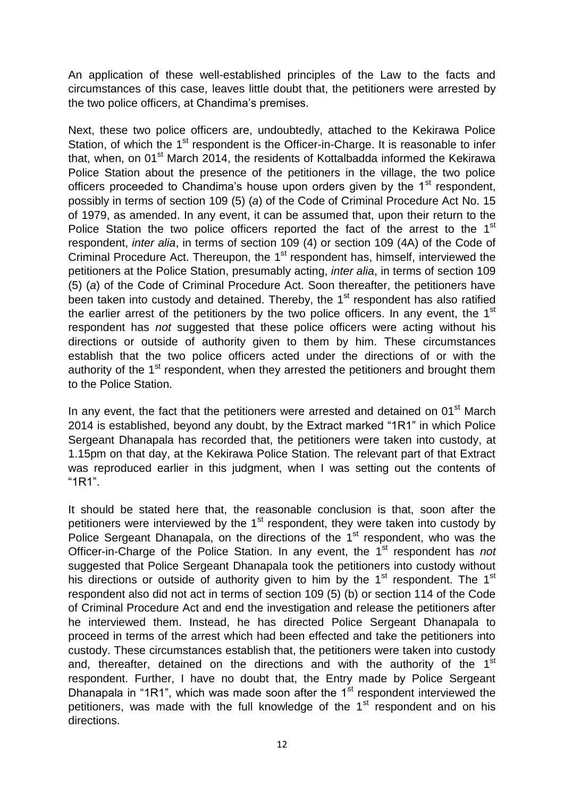An application of these well-established principles of the Law to the facts and circumstances of this case, leaves little doubt that, the petitioners were arrested by the two police officers, at Chandima's premises.

Next, these two police officers are, undoubtedly, attached to the Kekirawa Police Station, of which the 1<sup>st</sup> respondent is the Officer-in-Charge. It is reasonable to infer that, when, on 01<sup>st</sup> March 2014, the residents of Kottalbadda informed the Kekirawa Police Station about the presence of the petitioners in the village, the two police officers proceeded to Chandima's house upon orders given by the  $1<sup>st</sup>$  respondent, possibly in terms of section 109 (5) (*a*) of the Code of Criminal Procedure Act No. 15 of 1979, as amended. In any event, it can be assumed that, upon their return to the Police Station the two police officers reported the fact of the arrest to the 1<sup>st</sup> respondent, *inter alia*, in terms of section 109 (4) or section 109 (4A) of the Code of Criminal Procedure Act. Thereupon, the 1<sup>st</sup> respondent has, himself, interviewed the petitioners at the Police Station, presumably acting, *inter alia*, in terms of section 109 (5) (*a*) of the Code of Criminal Procedure Act. Soon thereafter, the petitioners have been taken into custody and detained. Thereby, the 1<sup>st</sup> respondent has also ratified the earlier arrest of the petitioners by the two police officers. In any event, the  $1<sup>st</sup>$ respondent has *not* suggested that these police officers were acting without his directions or outside of authority given to them by him. These circumstances establish that the two police officers acted under the directions of or with the authority of the 1<sup>st</sup> respondent, when they arrested the petitioners and brought them to the Police Station.

In any event, the fact that the petitioners were arrested and detained on  $01<sup>st</sup>$  March 2014 is established, beyond any doubt, by the Extract marked "1R1" in which Police Sergeant Dhanapala has recorded that, the petitioners were taken into custody, at 1.15pm on that day, at the Kekirawa Police Station. The relevant part of that Extract was reproduced earlier in this judgment, when I was setting out the contents of "1R1".

It should be stated here that, the reasonable conclusion is that, soon after the petitioners were interviewed by the  $1<sup>st</sup>$  respondent, they were taken into custody by Police Sergeant Dhanapala, on the directions of the 1<sup>st</sup> respondent, who was the Officer-in-Charge of the Police Station. In any event, the 1<sup>st</sup> respondent has *not* suggested that Police Sergeant Dhanapala took the petitioners into custody without his directions or outside of authority given to him by the 1<sup>st</sup> respondent. The 1<sup>st</sup> respondent also did not act in terms of section 109 (5) (b) or section 114 of the Code of Criminal Procedure Act and end the investigation and release the petitioners after he interviewed them. Instead, he has directed Police Sergeant Dhanapala to proceed in terms of the arrest which had been effected and take the petitioners into custody. These circumstances establish that, the petitioners were taken into custody and, thereafter, detained on the directions and with the authority of the  $1<sup>st</sup>$ respondent. Further, I have no doubt that, the Entry made by Police Sergeant Dhanapala in "1R1", which was made soon after the  $1<sup>st</sup>$  respondent interviewed the petitioners, was made with the full knowledge of the  $1<sup>st</sup>$  respondent and on his directions.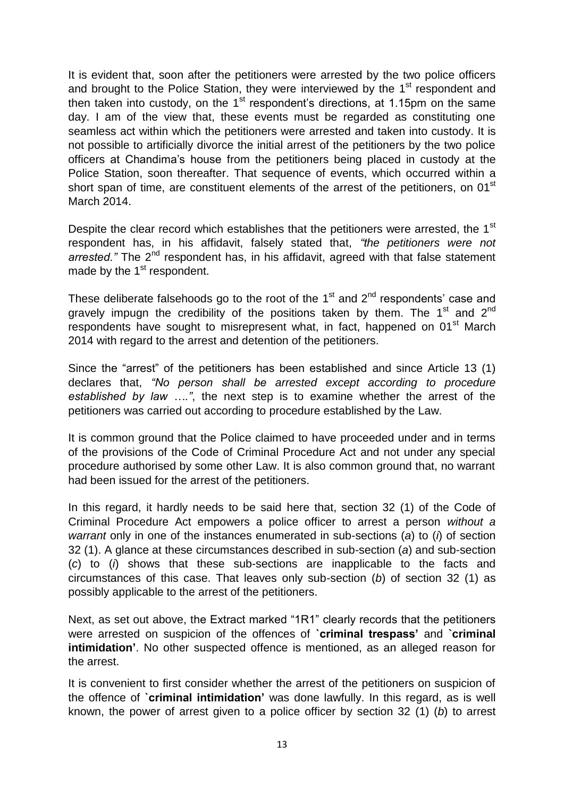It is evident that, soon after the petitioners were arrested by the two police officers and brought to the Police Station, they were interviewed by the 1<sup>st</sup> respondent and then taken into custody, on the  $1<sup>st</sup>$  respondent's directions, at 1.15pm on the same day. I am of the view that, these events must be regarded as constituting one seamless act within which the petitioners were arrested and taken into custody. It is not possible to artificially divorce the initial arrest of the petitioners by the two police officers at Chandima"s house from the petitioners being placed in custody at the Police Station, soon thereafter. That sequence of events, which occurred within a short span of time, are constituent elements of the arrest of the petitioners, on 01<sup>st</sup> March 2014.

Despite the clear record which establishes that the petitioners were arrested, the 1<sup>st</sup> respondent has, in his affidavit, falsely stated that, *"the petitioners were not*  arrested." The 2<sup>nd</sup> respondent has, in his affidavit, agreed with that false statement made by the  $1<sup>st</sup>$  respondent.

These deliberate falsehoods go to the root of the  $1<sup>st</sup>$  and  $2<sup>nd</sup>$  respondents' case and gravely impugn the credibility of the positions taken by them. The  $1<sup>st</sup>$  and  $2<sup>nd</sup>$ respondents have sought to misrepresent what, in fact, happened on 01<sup>st</sup> March 2014 with regard to the arrest and detention of the petitioners.

Since the "arrest" of the petitioners has been established and since Article 13 (1) declares that, *"No person shall be arrested except according to procedure established by law …."*, the next step is to examine whether the arrest of the petitioners was carried out according to procedure established by the Law.

It is common ground that the Police claimed to have proceeded under and in terms of the provisions of the Code of Criminal Procedure Act and not under any special procedure authorised by some other Law. It is also common ground that, no warrant had been issued for the arrest of the petitioners.

In this regard, it hardly needs to be said here that, section 32 (1) of the Code of Criminal Procedure Act empowers a police officer to arrest a person *without a warrant* only in one of the instances enumerated in sub-sections (*a*) to (*i*) of section 32 (1). A glance at these circumstances described in sub-section (*a*) and sub-section (*c*) to (*i*) shows that these sub-sections are inapplicable to the facts and circumstances of this case. That leaves only sub-section (*b*) of section 32 (1) as possibly applicable to the arrest of the petitioners.

Next, as set out above, the Extract marked "1R1" clearly records that the petitioners were arrested on suspicion of the offences of **`criminal trespass'** and **`criminal intimidation'**. No other suspected offence is mentioned, as an alleged reason for the arrest.

It is convenient to first consider whether the arrest of the petitioners on suspicion of the offence of **`criminal intimidation'** was done lawfully. In this regard, as is well known, the power of arrest given to a police officer by section 32 (1) (*b*) to arrest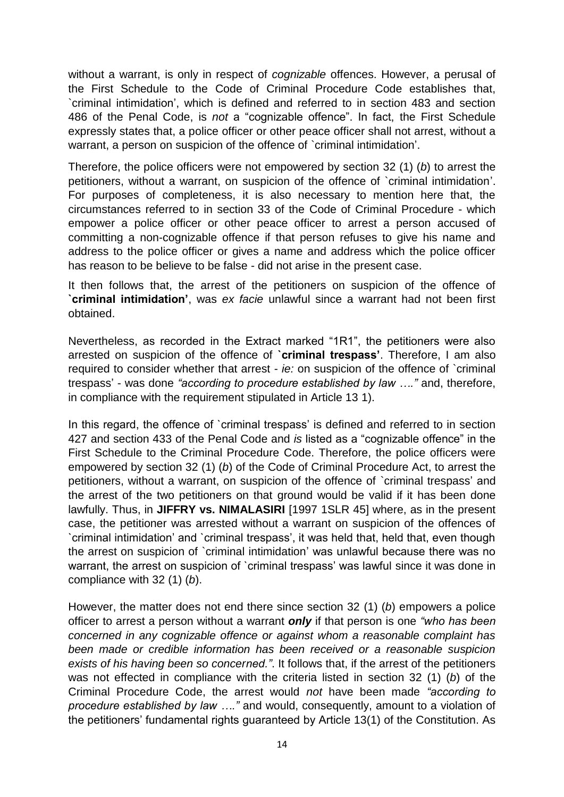without a warrant, is only in respect of *cognizable* offences. However, a perusal of the First Schedule to the Code of Criminal Procedure Code establishes that, `criminal intimidation", which is defined and referred to in section 483 and section 486 of the Penal Code, is *not* a "cognizable offence". In fact, the First Schedule expressly states that, a police officer or other peace officer shall not arrest, without a warrant, a person on suspicion of the offence of `criminal intimidation'.

Therefore, the police officers were not empowered by section 32 (1) (*b*) to arrest the petitioners, without a warrant, on suspicion of the offence of `criminal intimidation". For purposes of completeness, it is also necessary to mention here that, the circumstances referred to in section 33 of the Code of Criminal Procedure - which empower a police officer or other peace officer to arrest a person accused of committing a non-cognizable offence if that person refuses to give his name and address to the police officer or gives a name and address which the police officer has reason to be believe to be false - did not arise in the present case.

It then follows that, the arrest of the petitioners on suspicion of the offence of **`criminal intimidation'**, was *ex facie* unlawful since a warrant had not been first obtained.

Nevertheless, as recorded in the Extract marked "1R1", the petitioners were also arrested on suspicion of the offence of **`criminal trespass'**. Therefore, I am also required to consider whether that arrest - *ie:* on suspicion of the offence of `criminal trespass" - was done *"according to procedure established by law …."* and, therefore, in compliance with the requirement stipulated in Article 13 1).

In this regard, the offence of `criminal trespass' is defined and referred to in section 427 and section 433 of the Penal Code and *is* listed as a "cognizable offence" in the First Schedule to the Criminal Procedure Code. Therefore, the police officers were empowered by section 32 (1) (*b*) of the Code of Criminal Procedure Act, to arrest the petitioners, without a warrant, on suspicion of the offence of `criminal trespass" and the arrest of the two petitioners on that ground would be valid if it has been done lawfully. Thus, in **JIFFRY vs. NIMALASIRI** [1997 1SLR 45] where, as in the present case, the petitioner was arrested without a warrant on suspicion of the offences of `criminal intimidation" and `criminal trespass", it was held that, held that, even though the arrest on suspicion of `criminal intimidation" was unlawful because there was no warrant, the arrest on suspicion of `criminal trespass" was lawful since it was done in compliance with 32 (1) (*b*).

However, the matter does not end there since section 32 (1) (*b*) empowers a police officer to arrest a person without a warrant *only* if that person is one *"who has been concerned in any cognizable offence or against whom a reasonable complaint has been made or credible information has been received or a reasonable suspicion exists of his having been so concerned."*. It follows that, if the arrest of the petitioners was not effected in compliance with the criteria listed in section 32 (1) (*b*) of the Criminal Procedure Code, the arrest would *not* have been made *"according to procedure established by law …."* and would, consequently, amount to a violation of the petitioners' fundamental rights guaranteed by Article 13(1) of the Constitution. As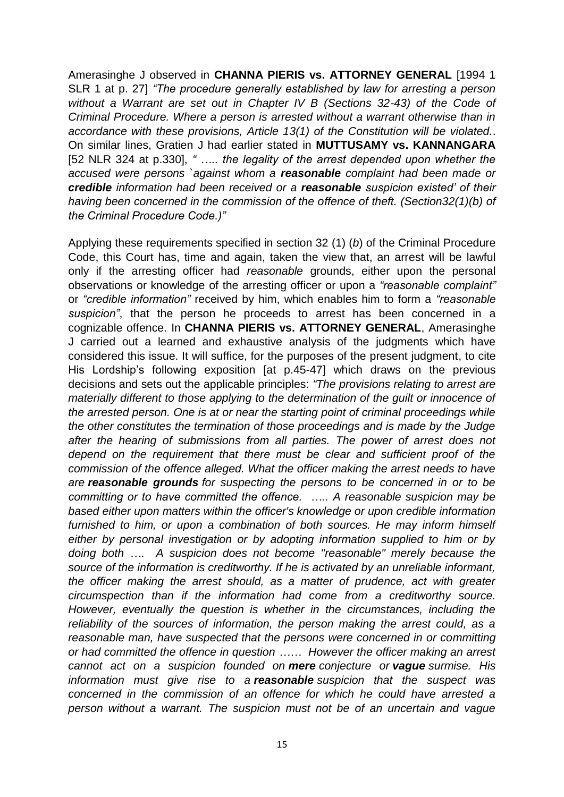Amerasinghe J observed in **CHANNA PIERIS vs. ATTORNEY GENERAL** [1994 1 SLR 1 at p. 27] *"The procedure generally established by law for arresting a person without a Warrant are set out in Chapter IV B (Sections 32-43) of the Code of Criminal Procedure. Where a person is arrested without a warrant otherwise than in accordance with these provisions, Article 13(1) of the Constitution will be violated.*. On similar lines, Gratien J had earlier stated in **MUTTUSAMY vs. KANNANGARA**  [52 NLR 324 at p.330], *" ….. the legality of the arrest depended upon whether the accused were persons `against whom a reasonable complaint had been made or credible information had been received or a reasonable suspicion existed" of their having been concerned in the commission of the offence of theft. (Section32(1)(b) of the Criminal Procedure Code.)"*

Applying these requirements specified in section 32 (1) (*b*) of the Criminal Procedure Code, this Court has, time and again, taken the view that, an arrest will be lawful only if the arresting officer had *reasonable* grounds, either upon the personal observations or knowledge of the arresting officer or upon a *"reasonable complaint"*  or *"credible information"* received by him, which enables him to form a *"reasonable suspicion"*, that the person he proceeds to arrest has been concerned in a cognizable offence. In **CHANNA PIERIS vs. ATTORNEY GENERAL**, Amerasinghe J carried out a learned and exhaustive analysis of the judgments which have considered this issue. It will suffice, for the purposes of the present judgment, to cite His Lordship"s following exposition [at p.45-47] which draws on the previous decisions and sets out the applicable principles: *"The provisions relating to arrest are materially different to those applying to the determination of the guilt or innocence of the arrested person. One is at or near the starting point of criminal proceedings while the other constitutes the termination of those proceedings and is made by the Judge after the hearing of submissions from all parties. The power of arrest does not depend on the requirement that there must be clear and sufficient proof of the commission of the offence alleged. What the officer making the arrest needs to have are reasonable grounds for suspecting the persons to be concerned in or to be committing or to have committed the offence. ….. A reasonable suspicion may be based either upon matters within the officer's knowledge or upon credible information furnished to him, or upon a combination of both sources. He may inform himself either by personal investigation or by adopting information supplied to him or by doing both …. A suspicion does not become "reasonable" merely because the source of the information is creditworthy. If he is activated by an unreliable informant, the officer making the arrest should, as a matter of prudence, act with greater circumspection than if the information had come from a creditworthy source. However, eventually the question is whether in the circumstances, including the*  reliability of the sources of information, the person making the arrest could, as a *reasonable man, have suspected that the persons were concerned in or committing or had committed the offence in question …… However the officer making an arrest cannot act on a suspicion founded on mere conjecture or vague surmise. His information must give rise to a reasonable suspicion that the suspect was concerned in the commission of an offence for which he could have arrested a person without a warrant. The suspicion must not be of an uncertain and vague*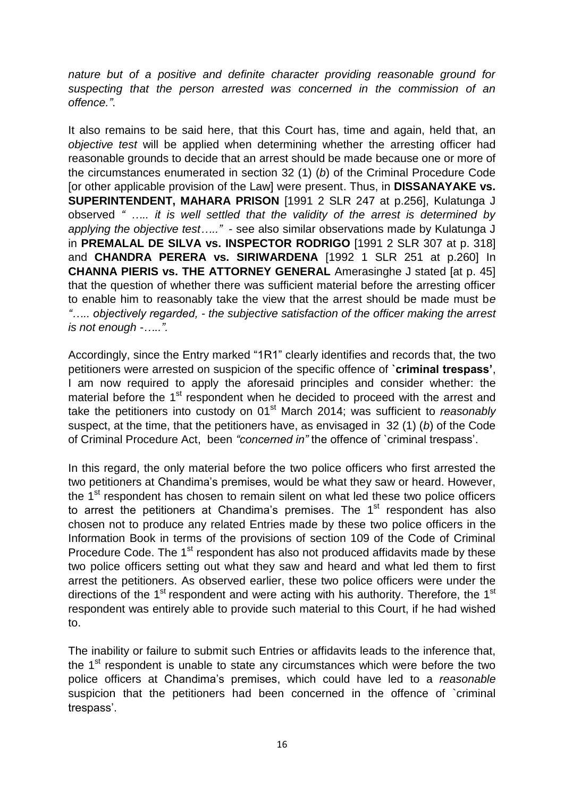*nature but of a positive and definite character providing reasonable ground for suspecting that the person arrested was concerned in the commission of an offence."*.

It also remains to be said here, that this Court has, time and again, held that, an *objective test* will be applied when determining whether the arresting officer had reasonable grounds to decide that an arrest should be made because one or more of the circumstances enumerated in section 32 (1) (*b*) of the Criminal Procedure Code [or other applicable provision of the Law] were present. Thus, in **DISSANAYAKE vs. SUPERINTENDENT, MAHARA PRISON** [1991 2 SLR 247 at p.256], Kulatunga J observed *" ….. it is well settled that the validity of the arrest is determined by applying the objective test….."* - see also similar observations made by Kulatunga J in **PREMALAL DE SILVA vs. INSPECTOR RODRIGO** [1991 2 SLR 307 at p. 318] and **CHANDRA PERERA vs. SIRIWARDENA** [1992 1 SLR 251 at p.260] In **CHANNA PIERIS vs. THE ATTORNEY GENERAL** Amerasinghe J stated [at p. 45] that the question of whether there was sufficient material before the arresting officer to enable him to reasonably take the view that the arrest should be made must b*e "….. objectively regarded, - the subjective satisfaction of the officer making the arrest is not enough -…..".*

Accordingly, since the Entry marked "1R1" clearly identifies and records that, the two petitioners were arrested on suspicion of the specific offence of **`criminal trespass'**, I am now required to apply the aforesaid principles and consider whether: the material before the 1<sup>st</sup> respondent when he decided to proceed with the arrest and take the petitioners into custody on 01<sup>st</sup> March 2014; was sufficient to *reasonably* suspect, at the time, that the petitioners have, as envisaged in 32 (1) (*b*) of the Code of Criminal Procedure Act, been *"concerned in"* the offence of `criminal trespass".

In this regard, the only material before the two police officers who first arrested the two petitioners at Chandima"s premises, would be what they saw or heard. However, the  $1<sup>st</sup>$  respondent has chosen to remain silent on what led these two police officers to arrest the petitioners at Chandima's premises. The  $1<sup>st</sup>$  respondent has also chosen not to produce any related Entries made by these two police officers in the Information Book in terms of the provisions of section 109 of the Code of Criminal Procedure Code. The 1<sup>st</sup> respondent has also not produced affidavits made by these two police officers setting out what they saw and heard and what led them to first arrest the petitioners. As observed earlier, these two police officers were under the directions of the  $1<sup>st</sup>$  respondent and were acting with his authority. Therefore, the  $1<sup>st</sup>$ respondent was entirely able to provide such material to this Court, if he had wished to.

The inability or failure to submit such Entries or affidavits leads to the inference that, the 1<sup>st</sup> respondent is unable to state any circumstances which were before the two police officers at Chandima"s premises, which could have led to a *reasonable* suspicion that the petitioners had been concerned in the offence of `criminal trespass".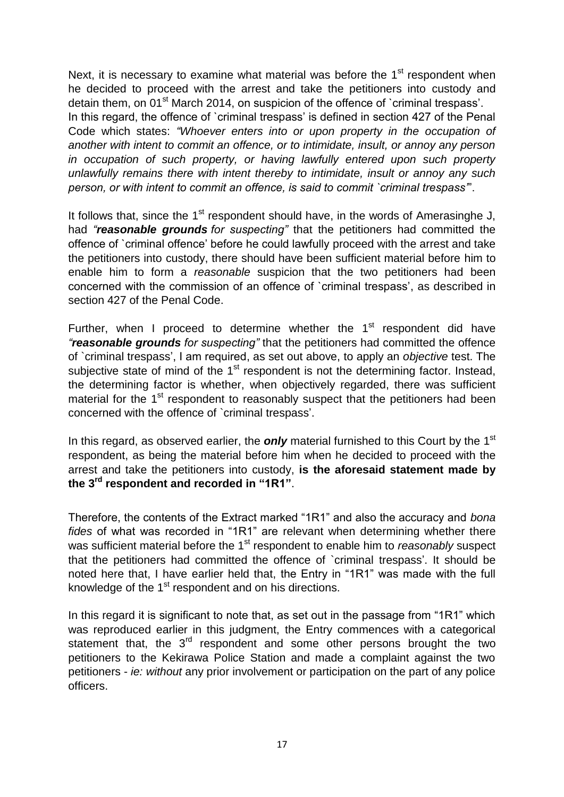Next, it is necessary to examine what material was before the  $1<sup>st</sup>$  respondent when he decided to proceed with the arrest and take the petitioners into custody and detain them, on 01<sup>st</sup> March 2014, on suspicion of the offence of `criminal trespass'. In this regard, the offence of `criminal trespass' is defined in section 427 of the Penal Code which states: *"Whoever enters into or upon property in the occupation of another with intent to commit an offence, or to intimidate, insult, or annoy any person in occupation of such property, or having lawfully entered upon such property unlawfully remains there with intent thereby to intimidate, insult or annoy any such person, or with intent to commit an offence, is said to commit `criminal trespass"*".

It follows that, since the  $1<sup>st</sup>$  respondent should have, in the words of Amerasinghe J, had *"reasonable grounds for suspecting"* that the petitioners had committed the offence of `criminal offence" before he could lawfully proceed with the arrest and take the petitioners into custody, there should have been sufficient material before him to enable him to form a *reasonable* suspicion that the two petitioners had been concerned with the commission of an offence of `criminal trespass", as described in section 427 of the Penal Code.

Further, when I proceed to determine whether the  $1<sup>st</sup>$  respondent did have *"reasonable grounds for suspecting"* that the petitioners had committed the offence of `criminal trespass", I am required, as set out above, to apply an *objective* test. The subjective state of mind of the 1<sup>st</sup> respondent is not the determining factor. Instead, the determining factor is whether, when objectively regarded, there was sufficient material for the 1<sup>st</sup> respondent to reasonably suspect that the petitioners had been concerned with the offence of `criminal trespass".

In this regard, as observed earlier, the **only** material furnished to this Court by the 1<sup>st</sup> respondent, as being the material before him when he decided to proceed with the arrest and take the petitioners into custody, **is the aforesaid statement made by the 3rd respondent and recorded in "1R1"**.

Therefore, the contents of the Extract marked "1R1" and also the accuracy and *bona fides* of what was recorded in "1R1" are relevant when determining whether there was sufficient material before the 1<sup>st</sup> respondent to enable him to *reasonably* suspect that the petitioners had committed the offence of `criminal trespass". It should be noted here that, I have earlier held that, the Entry in "1R1" was made with the full knowledge of the  $1<sup>st</sup>$  respondent and on his directions.

In this regard it is significant to note that, as set out in the passage from "1R1" which was reproduced earlier in this judgment, the Entry commences with a categorical statement that, the 3<sup>rd</sup> respondent and some other persons brought the two petitioners to the Kekirawa Police Station and made a complaint against the two petitioners - *ie: without* any prior involvement or participation on the part of any police officers.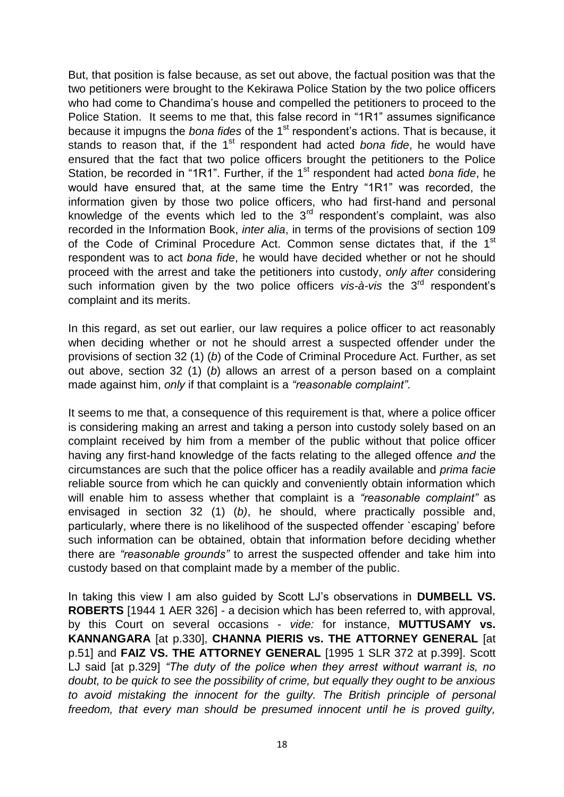But, that position is false because, as set out above, the factual position was that the two petitioners were brought to the Kekirawa Police Station by the two police officers who had come to Chandima's house and compelled the petitioners to proceed to the Police Station. It seems to me that, this false record in "1R1" assumes significance because it impugns the *bona fides* of the 1<sup>st</sup> respondent's actions. That is because, it stands to reason that, if the 1<sup>st</sup> respondent had acted *bona fide*, he would have ensured that the fact that two police officers brought the petitioners to the Police Station, be recorded in "1R1". Further, if the 1<sup>st</sup> respondent had acted *bona fide*, he would have ensured that, at the same time the Entry "1R1" was recorded, the information given by those two police officers, who had first-hand and personal knowledge of the events which led to the  $3<sup>rd</sup>$  respondent's complaint, was also recorded in the Information Book, *inter alia*, in terms of the provisions of section 109 of the Code of Criminal Procedure Act. Common sense dictates that, if the 1<sup>st</sup> respondent was to act *bona fide*, he would have decided whether or not he should proceed with the arrest and take the petitioners into custody, *only after* considering such information given by the two police officers *vis-à-vis* the 3<sup>rd</sup> respondent's complaint and its merits.

In this regard, as set out earlier, our law requires a police officer to act reasonably when deciding whether or not he should arrest a suspected offender under the provisions of section 32 (1) (*b*) of the Code of Criminal Procedure Act. Further, as set out above, section 32 (1) (*b*) allows an arrest of a person based on a complaint made against him, *only* if that complaint is a *"reasonable complaint"*.

It seems to me that, a consequence of this requirement is that, where a police officer is considering making an arrest and taking a person into custody solely based on an complaint received by him from a member of the public without that police officer having any first-hand knowledge of the facts relating to the alleged offence *and* the circumstances are such that the police officer has a readily available and *prima facie*  reliable source from which he can quickly and conveniently obtain information which will enable him to assess whether that complaint is a *"reasonable complaint"* as envisaged in section 32 (1) (*b)*, he should, where practically possible and, particularly, where there is no likelihood of the suspected offender `escaping" before such information can be obtained, obtain that information before deciding whether there are *"reasonable grounds"* to arrest the suspected offender and take him into custody based on that complaint made by a member of the public.

In taking this view I am also guided by Scott LJ"s observations in **DUMBELL VS. ROBERTS** [1944 1 AER 326] - a decision which has been referred to, with approval, by this Court on several occasions - *vide:* for instance, **MUTTUSAMY vs. KANNANGARA** [at p.330], **CHANNA PIERIS vs. THE ATTORNEY GENERAL** [at p.51] and **FAIZ VS. THE ATTORNEY GENERAL** [1995 1 SLR 372 at p.399]. Scott LJ said [at p.329] *"The duty of the police when they arrest without warrant is, no doubt, to be quick to see the possibility of crime, but equally they ought to be anxious to avoid mistaking the innocent for the guilty. The British principle of personal freedom, that every man should be presumed innocent until he is proved guilty,*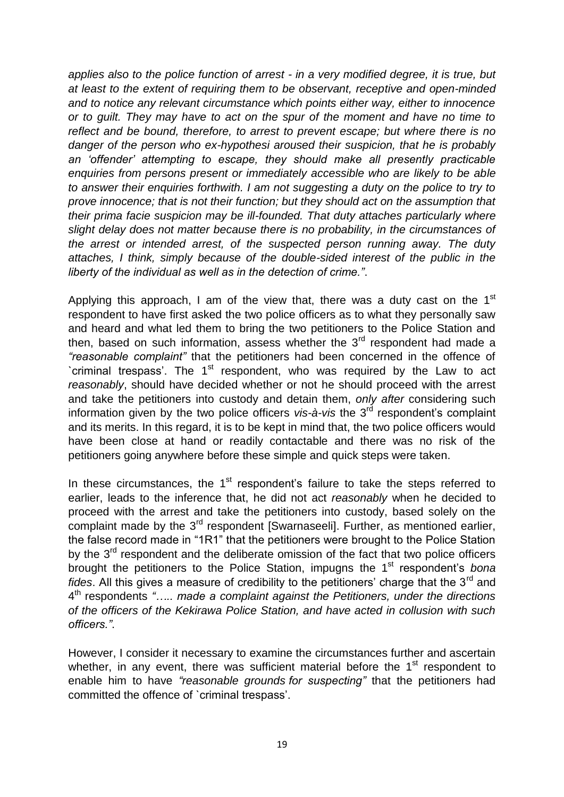*applies also to the police function of arrest - in a very modified degree, it is true, but at least to the extent of requiring them to be observant, receptive and open-minded and to notice any relevant circumstance which points either way, either to innocence or to guilt. They may have to act on the spur of the moment and have no time to reflect and be bound, therefore, to arrest to prevent escape; but where there is no danger of the person who ex-hypothesi aroused their suspicion, that he is probably an "offender" attempting to escape, they should make all presently practicable enquiries from persons present or immediately accessible who are likely to be able to answer their enquiries forthwith. I am not suggesting a duty on the police to try to prove innocence; that is not their function; but they should act on the assumption that their prima facie suspicion may be ill-founded. That duty attaches particularly where slight delay does not matter because there is no probability, in the circumstances of the arrest or intended arrest, of the suspected person running away. The duty attaches, I think, simply because of the double-sided interest of the public in the liberty of the individual as well as in the detection of crime."*.

Applying this approach, I am of the view that, there was a duty cast on the  $1<sup>st</sup>$ respondent to have first asked the two police officers as to what they personally saw and heard and what led them to bring the two petitioners to the Police Station and then, based on such information, assess whether the  $3<sup>rd</sup>$  respondent had made a *"reasonable complaint"* that the petitioners had been concerned in the offence of `criminal trespass'. The 1<sup>st</sup> respondent, who was required by the Law to act *reasonably*, should have decided whether or not he should proceed with the arrest and take the petitioners into custody and detain them, *only after* considering such information given by the two police officers *vis-à-vis* the 3<sup>rd</sup> respondent's complaint and its merits. In this regard, it is to be kept in mind that, the two police officers would have been close at hand or readily contactable and there was no risk of the petitioners going anywhere before these simple and quick steps were taken.

In these circumstances, the  $1<sup>st</sup>$  respondent's failure to take the steps referred to earlier, leads to the inference that, he did not act *reasonably* when he decided to proceed with the arrest and take the petitioners into custody, based solely on the complaint made by the 3<sup>rd</sup> respondent [Swarnaseeli]. Further, as mentioned earlier, the false record made in "1R1" that the petitioners were brought to the Police Station by the  $3<sup>rd</sup>$  respondent and the deliberate omission of the fact that two police officers brought the petitioners to the Police Station, impugns the 1st respondent"s *bona fides*. All this gives a measure of credibility to the petitioners' charge that the 3<sup>rd</sup> and 4 th respondents *"….. made a complaint against the Petitioners, under the directions of the officers of the Kekirawa Police Station, and have acted in collusion with such officers."*.

However, I consider it necessary to examine the circumstances further and ascertain whether, in any event, there was sufficient material before the  $1<sup>st</sup>$  respondent to enable him to have *"reasonable grounds for suspecting"* that the petitioners had committed the offence of `criminal trespass'.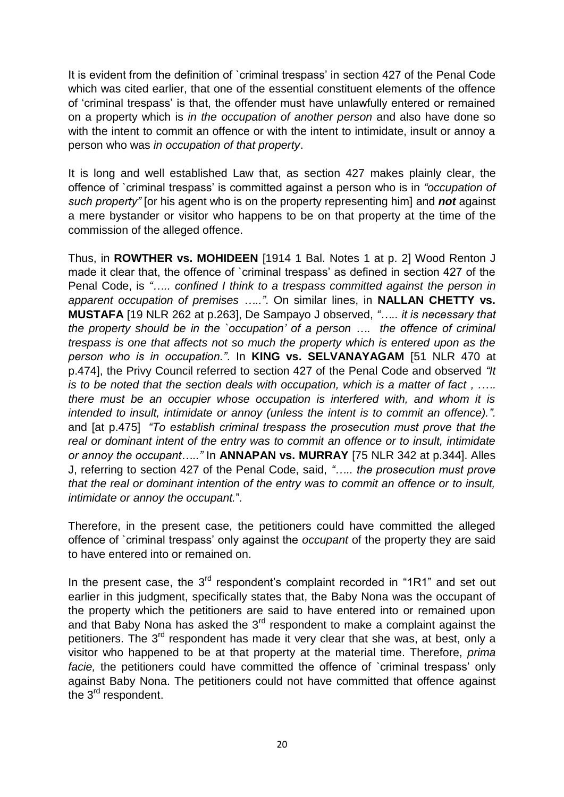It is evident from the definition of `criminal trespass' in section 427 of the Penal Code which was cited earlier, that one of the essential constituent elements of the offence of "criminal trespass" is that, the offender must have unlawfully entered or remained on a property which is *in the occupation of another person* and also have done so with the intent to commit an offence or with the intent to intimidate, insult or annoy a person who was *in occupation of that property*.

It is long and well established Law that, as section 427 makes plainly clear, the offence of `criminal trespass" is committed against a person who is in *"occupation of such property"* [or his agent who is on the property representing him] and *not* against a mere bystander or visitor who happens to be on that property at the time of the commission of the alleged offence.

Thus, in **ROWTHER vs. MOHIDEEN** [1914 1 Bal. Notes 1 at p. 2] Wood Renton J made it clear that, the offence of `criminal trespass' as defined in section 427 of the Penal Code, is *"….. confined I think to a trespass committed against the person in apparent occupation of premises ….."*. On similar lines, in **NALLAN CHETTY vs. MUSTAFA** [19 NLR 262 at p.263], De Sampayo J observed, *"….. it is necessary that the property should be in the `occupation" of a person …. the offence of criminal trespass is one that affects not so much the property which is entered upon as the person who is in occupation."*. In **KING vs. SELVANAYAGAM** [51 NLR 470 at p.474], the Privy Council referred to section 427 of the Penal Code and observed *"It is to be noted that the section deals with occupation, which is a matter of fact , .…. there must be an occupier whose occupation is interfered with, and whom it is intended to insult, intimidate or annoy (unless the intent is to commit an offence).".*  and [at p.475] *"To establish criminal trespass the prosecution must prove that the real or dominant intent of the entry was to commit an offence or to insult, intimidate or annoy the occupant….."* In **ANNAPAN vs. MURRAY** [75 NLR 342 at p.344]. Alles J, referring to section 427 of the Penal Code, said, *"….. the prosecution must prove that the real or dominant intention of the entry was to commit an offence or to insult, intimidate or annoy the occupant.*"*.*

Therefore, in the present case, the petitioners could have committed the alleged offence of `criminal trespass" only against the *occupant* of the property they are said to have entered into or remained on.

In the present case, the  $3<sup>rd</sup>$  respondent's complaint recorded in "1R1" and set out earlier in this judgment, specifically states that, the Baby Nona was the occupant of the property which the petitioners are said to have entered into or remained upon and that Baby Nona has asked the  $3<sup>rd</sup>$  respondent to make a complaint against the petitioners. The 3<sup>rd</sup> respondent has made it very clear that she was, at best, only a visitor who happened to be at that property at the material time. Therefore, *prima facie*, the petitioners could have committed the offence of `criminal trespass' only against Baby Nona. The petitioners could not have committed that offence against the 3<sup>rd</sup> respondent.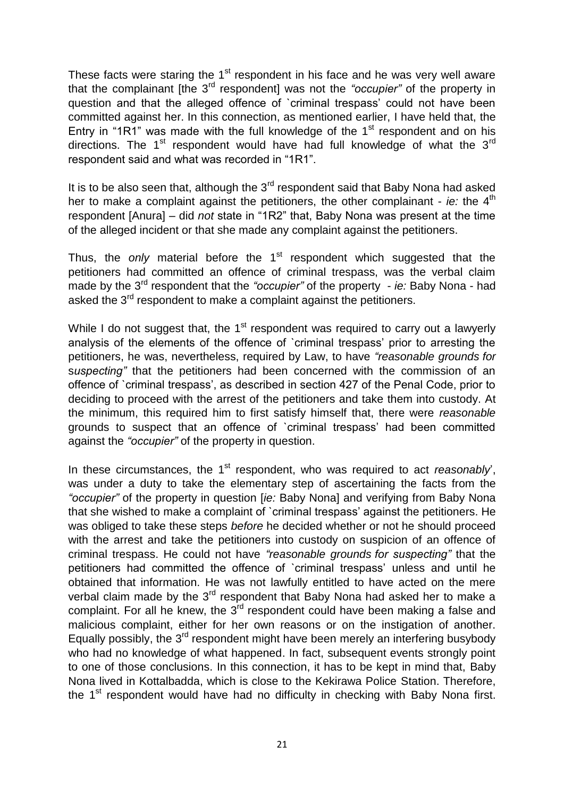These facts were staring the 1<sup>st</sup> respondent in his face and he was very well aware that the complainant [the 3rd respondent] was not the *"occupier"* of the property in question and that the alleged offence of `criminal trespass" could not have been committed against her. In this connection, as mentioned earlier, I have held that, the Entry in "1R1" was made with the full knowledge of the  $1<sup>st</sup>$  respondent and on his directions. The  $1<sup>st</sup>$  respondent would have had full knowledge of what the  $3<sup>rd</sup>$ respondent said and what was recorded in "1R1".

It is to be also seen that, although the  $3<sup>rd</sup>$  respondent said that Baby Nona had asked her to make a complaint against the petitioners, the other complainant - *ie:* the 4<sup>th</sup> respondent [Anura] – did *not* state in "1R2" that, Baby Nona was present at the time of the alleged incident or that she made any complaint against the petitioners.

Thus, the *only* material before the 1<sup>st</sup> respondent which suggested that the petitioners had committed an offence of criminal trespass, was the verbal claim made by the 3rd respondent that the *"occupier"* of the property - *ie:* Baby Nona - had asked the 3<sup>rd</sup> respondent to make a complaint against the petitioners.

While I do not suggest that, the  $1<sup>st</sup>$  respondent was required to carry out a lawyerly analysis of the elements of the offence of `criminal trespass" prior to arresting the petitioners, he was, nevertheless, required by Law, to have *"reasonable grounds for* s*uspecting"* that the petitioners had been concerned with the commission of an offence of `criminal trespass", as described in section 427 of the Penal Code, prior to deciding to proceed with the arrest of the petitioners and take them into custody. At the minimum, this required him to first satisfy himself that, there were *reasonable* grounds to suspect that an offence of `criminal trespass" had been committed against the *"occupier"* of the property in question.

In these circumstances, the 1<sup>st</sup> respondent, who was required to act *reasonably*, was under a duty to take the elementary step of ascertaining the facts from the *"occupier"* of the property in question [*ie:* Baby Nona] and verifying from Baby Nona that she wished to make a complaint of `criminal trespass" against the petitioners. He was obliged to take these steps *before* he decided whether or not he should proceed with the arrest and take the petitioners into custody on suspicion of an offence of criminal trespass. He could not have *"reasonable grounds for suspecting"* that the petitioners had committed the offence of `criminal trespass' unless and until he obtained that information. He was not lawfully entitled to have acted on the mere verbal claim made by the  $3<sup>rd</sup>$  respondent that Baby Nona had asked her to make a complaint. For all he knew, the  $3<sup>rd</sup>$  respondent could have been making a false and malicious complaint, either for her own reasons or on the instigation of another. Equally possibly, the  $3<sup>rd</sup>$  respondent might have been merely an interfering busybody who had no knowledge of what happened. In fact, subsequent events strongly point to one of those conclusions. In this connection, it has to be kept in mind that, Baby Nona lived in Kottalbadda, which is close to the Kekirawa Police Station. Therefore, the  $1<sup>st</sup>$  respondent would have had no difficulty in checking with Baby Nona first.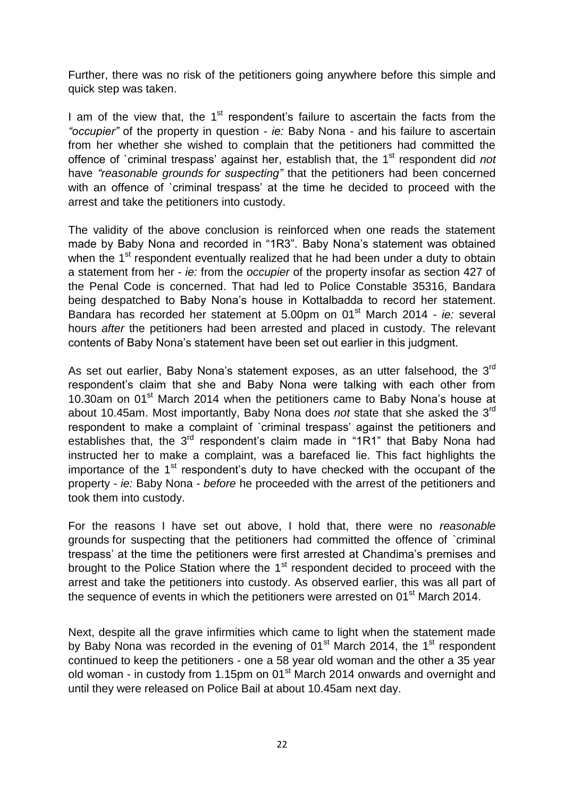Further, there was no risk of the petitioners going anywhere before this simple and quick step was taken.

I am of the view that, the  $1<sup>st</sup>$  respondent's failure to ascertain the facts from the *"occupier"* of the property in question - *ie:* Baby Nona - and his failure to ascertain from her whether she wished to complain that the petitioners had committed the offence of `criminal trespass' against her, establish that, the 1<sup>st</sup> respondent did *not* have *"reasonable grounds for suspecting"* that the petitioners had been concerned with an offence of `criminal trespass' at the time he decided to proceed with the arrest and take the petitioners into custody.

The validity of the above conclusion is reinforced when one reads the statement made by Baby Nona and recorded in "1R3". Baby Nona"s statement was obtained when the 1<sup>st</sup> respondent eventually realized that he had been under a duty to obtain a statement from her - *ie:* from the *occupier* of the property insofar as section 427 of the Penal Code is concerned. That had led to Police Constable 35316, Bandara being despatched to Baby Nona"s house in Kottalbadda to record her statement. Bandara has recorded her statement at 5.00pm on 01<sup>st</sup> March 2014 - *ie:* several hours *after* the petitioners had been arrested and placed in custody. The relevant contents of Baby Nona"s statement have been set out earlier in this judgment.

As set out earlier, Baby Nona's statement exposes, as an utter falsehood, the 3<sup>rd</sup> respondent"s claim that she and Baby Nona were talking with each other from 10.30am on 01<sup>st</sup> March 2014 when the petitioners came to Baby Nona's house at about 10.45am. Most importantly, Baby Nona does *not* state that she asked the 3rd respondent to make a complaint of `criminal trespass" against the petitioners and establishes that, the 3<sup>rd</sup> respondent's claim made in "1R1" that Baby Nona had instructed her to make a complaint, was a barefaced lie. This fact highlights the importance of the  $1<sup>st</sup>$  respondent's duty to have checked with the occupant of the property - *ie:* Baby Nona - *before* he proceeded with the arrest of the petitioners and took them into custody.

For the reasons I have set out above, I hold that, there were no *reasonable*  grounds for suspecting that the petitioners had committed the offence of `criminal trespass" at the time the petitioners were first arrested at Chandima"s premises and brought to the Police Station where the 1<sup>st</sup> respondent decided to proceed with the arrest and take the petitioners into custody. As observed earlier, this was all part of the sequence of events in which the petitioners were arrested on  $01<sup>st</sup>$  March 2014.

Next, despite all the grave infirmities which came to light when the statement made by Baby Nona was recorded in the evening of 01 $^{\rm st}$  March 2014, the 1 $^{\rm st}$  respondent continued to keep the petitioners - one a 58 year old woman and the other a 35 year old woman - in custody from 1.15pm on 01<sup>st</sup> March 2014 onwards and overnight and until they were released on Police Bail at about 10.45am next day.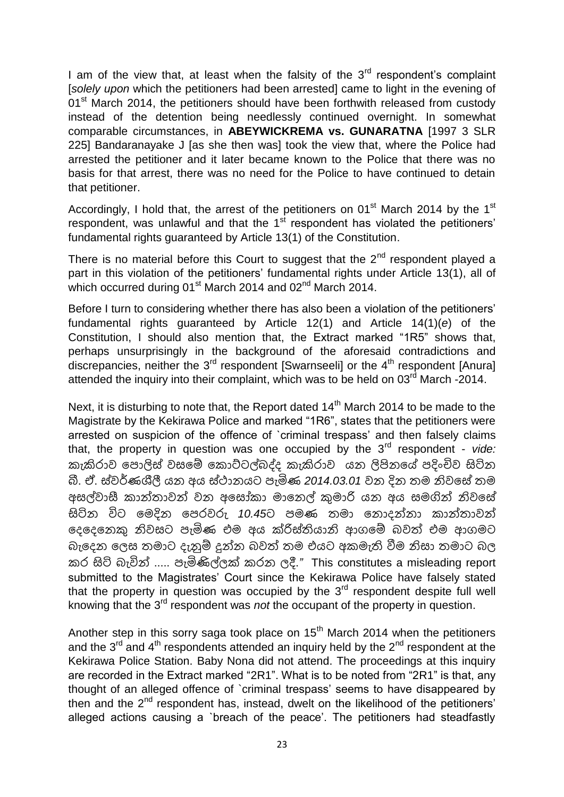I am of the view that, at least when the falsity of the  $3<sup>rd</sup>$  respondent's complaint [*solely upon* which the petitioners had been arrested] came to light in the evening of 01<sup>st</sup> March 2014, the petitioners should have been forthwith released from custody instead of the detention being needlessly continued overnight. In somewhat comparable circumstances, in **ABEYWICKREMA vs. GUNARATNA** [1997 3 SLR 225] Bandaranayake J [as she then was] took the view that, where the Police had arrested the petitioner and it later became known to the Police that there was no basis for that arrest, there was no need for the Police to have continued to detain that petitioner.

Accordingly, I hold that, the arrest of the petitioners on  $01<sup>st</sup>$  March 2014 by the  $1<sup>st</sup>$ respondent, was unlawful and that the  $1<sup>st</sup>$  respondent has violated the petitioners' fundamental rights guaranteed by Article 13(1) of the Constitution.

There is no material before this Court to suggest that the  $2<sup>nd</sup>$  respondent played a part in this violation of the petitioners' fundamental rights under Article 13(1), all of which occurred during  $01<sup>st</sup>$  March 2014 and  $02<sup>nd</sup>$  March 2014.

Before I turn to considering whether there has also been a violation of the petitioners' fundamental rights guaranteed by Article 12(1) and Article 14(1)(*e*) of the Constitution, I should also mention that, the Extract marked "1R5" shows that, perhaps unsurprisingly in the background of the aforesaid contradictions and discrepancies, neither the  $3<sup>rd</sup>$  respondent [Swarnseeli] or the  $4<sup>th</sup>$  respondent [Anura] attended the inquiry into their complaint, which was to be held on 03<sup>rd</sup> March -2014.

Next, it is disturbing to note that, the Report dated 14<sup>th</sup> March 2014 to be made to the Magistrate by the Kekirawa Police and marked "1R6", states that the petitioners were arrested on suspicion of the offence of `criminal trespass" and then falsely claims that, the property in question was one occupied by the 3<sup>rd</sup> respondent - *vide:* කැකිරාව පොලිස් වසමේ කොට්ටල්බද්ද කැකිරාව යන ලිපිනයේ පදිංචිව සිටින බී. ඒ. ස්වර්ණශීලී යන අය ස්ථානයට ඳැමිණ *2014.03.01* වන දන තෙ නිවමස් තෙ අසල්වාසී කාන්තාවන් වන අසෝකා මානෙල් කුමාරි යන අය සමගින් නිවසේ සිටින විට මෙදින පෙරවරු 10.45ට පමණ තමා නොදන්නා කාන්තාවන් මදමදමනකු නිවසට ඳැමිණ එෙ අය ක්රිස්තියානි ආෙමම් බවත් එෙ ආෙෙට බැදෙන ලෙස තමාට දැනුම් දුන්න බවත් තම එයට අකමැති වීම නිසා තමාට බල ර සිටි බැවින් ..... ඳැමිණිල්ලක් රන ලදී.*"* This constitutes a misleading report submitted to the Magistrates' Court since the Kekirawa Police have falsely stated that the property in question was occupied by the  $3<sup>rd</sup>$  respondent despite full well knowing that the 3rd respondent was *not* the occupant of the property in question.

Another step in this sorry saga took place on  $15<sup>th</sup>$  March 2014 when the petitioners and the  $3^{rd}$  and  $4^{th}$  respondents attended an inquiry held by the  $2^{nd}$  respondent at the Kekirawa Police Station. Baby Nona did not attend. The proceedings at this inquiry are recorded in the Extract marked "2R1". What is to be noted from "2R1" is that, any thought of an alleged offence of `criminal trespass" seems to have disappeared by then and the  $2<sup>nd</sup>$  respondent has, instead, dwelt on the likelihood of the petitioners' alleged actions causing a `breach of the peace". The petitioners had steadfastly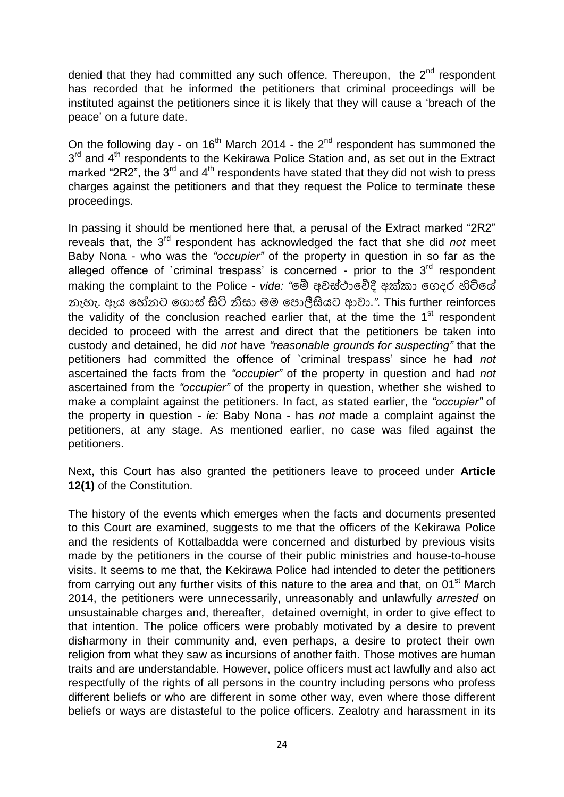denied that they had committed any such offence. Thereupon, the  $2<sup>nd</sup>$  respondent has recorded that he informed the petitioners that criminal proceedings will be instituted against the petitioners since it is likely that they will cause a "breach of the peace" on a future date.

On the following day - on  $16<sup>th</sup>$  March 2014 - the 2<sup>nd</sup> respondent has summoned the 3<sup>rd</sup> and 4<sup>th</sup> respondents to the Kekirawa Police Station and, as set out in the Extract marked "2R2", the 3<sup>rd</sup> and 4<sup>th</sup> respondents have stated that they did not wish to press charges against the petitioners and that they request the Police to terminate these proceedings.

In passing it should be mentioned here that, a perusal of the Extract marked "2R2" reveals that, the 3rd respondent has acknowledged the fact that she did *not* meet Baby Nona - who was the *"occupier"* of the property in question in so far as the alleged offence of `criminal trespass' is concerned - prior to the  $3<sup>rd</sup>$  respondent making the complaint to the Police - vide: "මෙි අවස්ථාවේදී අක්කා ගෙදර හිටියේ නැහැ. ඇය මේනට මෙොස් සිටි නිසා ෙෙ මඳොලීසියට ආවා.*"*. This further reinforces the validity of the conclusion reached earlier that, at the time the  $1<sup>st</sup>$  respondent decided to proceed with the arrest and direct that the petitioners be taken into custody and detained, he did *not* have *"reasonable grounds for suspecting"* that the petitioners had committed the offence of `criminal trespass" since he had *not* ascertained the facts from the *"occupier"* of the property in question and had *not* ascertained from the *"occupier"* of the property in question, whether she wished to make a complaint against the petitioners. In fact, as stated earlier, the *"occupier"* of the property in question - *ie:* Baby Nona - has *not* made a complaint against the petitioners, at any stage. As mentioned earlier, no case was filed against the petitioners.

Next, this Court has also granted the petitioners leave to proceed under **Article 12(1)** of the Constitution.

The history of the events which emerges when the facts and documents presented to this Court are examined, suggests to me that the officers of the Kekirawa Police and the residents of Kottalbadda were concerned and disturbed by previous visits made by the petitioners in the course of their public ministries and house-to-house visits. It seems to me that, the Kekirawa Police had intended to deter the petitioners from carrying out any further visits of this nature to the area and that, on  $01<sup>st</sup>$  March 2014, the petitioners were unnecessarily, unreasonably and unlawfully *arrested* on unsustainable charges and, thereafter, detained overnight, in order to give effect to that intention. The police officers were probably motivated by a desire to prevent disharmony in their community and, even perhaps, a desire to protect their own religion from what they saw as incursions of another faith. Those motives are human traits and are understandable. However, police officers must act lawfully and also act respectfully of the rights of all persons in the country including persons who profess different beliefs or who are different in some other way, even where those different beliefs or ways are distasteful to the police officers. Zealotry and harassment in its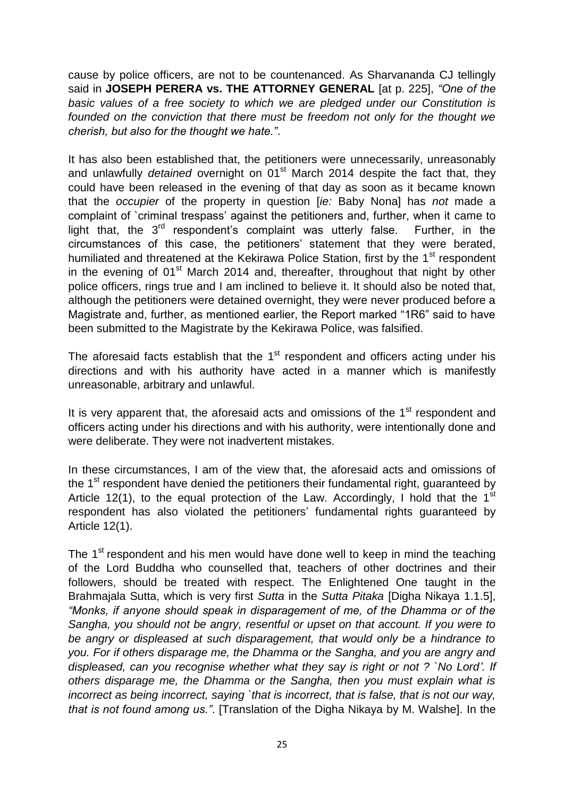cause by police officers, are not to be countenanced. As Sharvananda CJ tellingly said in **JOSEPH PERERA vs. THE ATTORNEY GENERAL** [at p. 225], *"One of the basic values of a free society to which we are pledged under our Constitution is founded on the conviction that there must be freedom not only for the thought we cherish, but also for the thought we hate."*.

It has also been established that, the petitioners were unnecessarily, unreasonably and unlawfully *detained* overnight on 01<sup>st</sup> March 2014 despite the fact that, they could have been released in the evening of that day as soon as it became known that the *occupier* of the property in question [*ie:* Baby Nona] has *not* made a complaint of `criminal trespass" against the petitioners and, further, when it came to light that, the  $3^{rd}$  respondent's complaint was utterly false. Further, in the circumstances of this case, the petitioners" statement that they were berated, humiliated and threatened at the Kekirawa Police Station, first by the  $1<sup>st</sup>$  respondent in the evening of  $01<sup>st</sup>$  March 2014 and, thereafter, throughout that night by other police officers, rings true and I am inclined to believe it. It should also be noted that, although the petitioners were detained overnight, they were never produced before a Magistrate and, further, as mentioned earlier, the Report marked "1R6" said to have been submitted to the Magistrate by the Kekirawa Police, was falsified.

The aforesaid facts establish that the  $1<sup>st</sup>$  respondent and officers acting under his directions and with his authority have acted in a manner which is manifestly unreasonable, arbitrary and unlawful.

It is very apparent that, the aforesaid acts and omissions of the 1<sup>st</sup> respondent and officers acting under his directions and with his authority, were intentionally done and were deliberate. They were not inadvertent mistakes.

In these circumstances, I am of the view that, the aforesaid acts and omissions of the  $1<sup>st</sup>$  respondent have denied the petitioners their fundamental right, guaranteed by Article 12(1), to the equal protection of the Law. Accordingly, I hold that the 1<sup>st</sup> respondent has also violated the petitioners' fundamental rights guaranteed by Article 12(1).

The 1<sup>st</sup> respondent and his men would have done well to keep in mind the teaching of the Lord Buddha who counselled that, teachers of other doctrines and their followers, should be treated with respect. The Enlightened One taught in the Brahmajala Sutta, which is very first *Sutta* in the *Sutta Pitaka* [Digha Nikaya 1.1.5], *"Monks, if anyone should speak in disparagement of me, of the Dhamma or of the Sangha, you should not be angry, resentful or upset on that account. If you were to be angry or displeased at such disparagement, that would only be a hindrance to you. For if others disparage me, the Dhamma or the Sangha, and you are angry and displeased, can you recognise whether what they say is right or not ? `No Lord". If others disparage me, the Dhamma or the Sangha, then you must explain what is incorrect as being incorrect, saying `that is incorrect, that is false, that is not our way, that is not found among us."*. [Translation of the Digha Nikaya by M. Walshe]. In the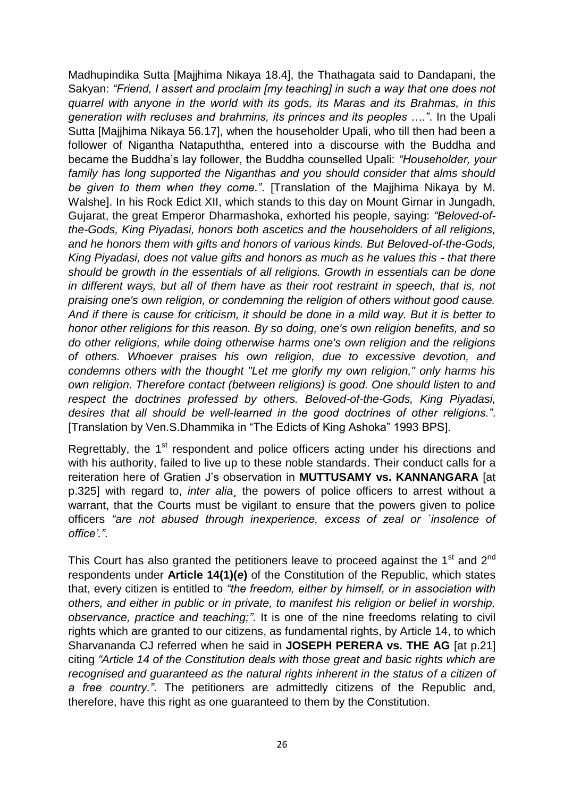Madhupindika Sutta [Majjhima Nikaya 18.4], the Thathagata said to Dandapani, the Sakyan: *"Friend, I assert and proclaim [my teaching] in such a way that one does not quarrel with anyone in the world with its gods, its Maras and its Brahmas, in this generation with recluses and brahmins, its princes and its peoples …."*. In the Upali Sutta [Majihima Nikaya 56.17], when the householder Upali, who till then had been a follower of Nigantha Natapuththa, entered into a discourse with the Buddha and became the Buddha"s lay follower, the Buddha counselled Upali: *"Householder, your family has long supported the Niganthas and you should consider that alms should be given to them when they come."*. [Translation of the Majjhima Nikaya by M. Walshe]. In his Rock Edict XII, which stands to this day on Mount Girnar in Jungadh, Gujarat, the great Emperor Dharmashoka, exhorted his people, saying: *"Beloved-ofthe-Gods, King Piyadasi, honors both ascetics and the householders of all religions, and he honors them with gifts and honors of various kinds. But Beloved-of-the-Gods, King Piyadasi, does not value gifts and honors as much as he values this - that there should be growth in the essentials of all religions. Growth in essentials can be done in different ways, but all of them have as their root restraint in speech, that is, not praising one's own religion, or condemning the religion of others without good cause. And if there is cause for criticism, it should be done in a mild way. But it is better to honor other religions for this reason. By so doing, one's own religion benefits, and so do other religions, while doing otherwise harms one's own religion and the religions of others. Whoever praises his own religion, due to excessive devotion, and condemns others with the thought "Let me glorify my own religion," only harms his own religion. Therefore contact (between religions) is good. One should listen to and respect the doctrines professed by others. Beloved-of-the-Gods, King Piyadasi, desires that all should be well-learned in the good doctrines of other religions."*. [Translation by Ven.S.Dhammika in "The Edicts of King Ashoka" 1993 BPS].

Regrettably, the 1<sup>st</sup> respondent and police officers acting under his directions and with his authority, failed to live up to these noble standards. Their conduct calls for a reiteration here of Gratien J"s observation in **MUTTUSAMY vs. KANNANGARA** [at p.325] with regard to, *inter alia¸* the powers of police officers to arrest without a warrant, that the Courts must be vigilant to ensure that the powers given to police officers *"are not abused through inexperience, excess of zeal or `insolence of office"."*.

This Court has also granted the petitioners leave to proceed against the  $1<sup>st</sup>$  and  $2<sup>nd</sup>$ respondents under **Article 14(1)(***e***)** of the Constitution of the Republic, which states that, every citizen is entitled to *"the freedom, either by himself, or in association with others, and either in public or in private, to manifest his religion or belief in worship, observance, practice and teaching;"*. It is one of the nine freedoms relating to civil rights which are granted to our citizens, as fundamental rights, by Article 14, to which Sharvananda CJ referred when he said in **JOSEPH PERERA vs. THE AG** [at p.21] citing *"Article 14 of the Constitution deals with those great and basic rights which are recognised and guaranteed as the natural rights inherent in the status of a citizen of a free country."*. The petitioners are admittedly citizens of the Republic and, therefore, have this right as one guaranteed to them by the Constitution.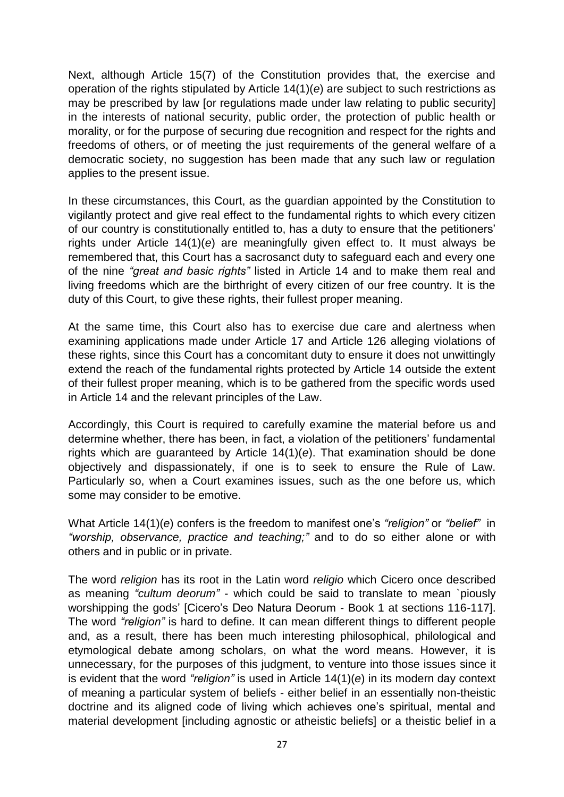Next, although Article 15(7) of the Constitution provides that, the exercise and operation of the rights stipulated by Article 14(1)(*e*) are subject to such restrictions as may be prescribed by law [or regulations made under law relating to public security] in the interests of national security, public order, the protection of public health or morality, or for the purpose of securing due recognition and respect for the rights and freedoms of others, or of meeting the just requirements of the general welfare of a democratic society, no suggestion has been made that any such law or regulation applies to the present issue.

In these circumstances, this Court, as the guardian appointed by the Constitution to vigilantly protect and give real effect to the fundamental rights to which every citizen of our country is constitutionally entitled to, has a duty to ensure that the petitioners" rights under Article 14(1)(*e*) are meaningfully given effect to. It must always be remembered that, this Court has a sacrosanct duty to safeguard each and every one of the nine *"great and basic rights"* listed in Article 14 and to make them real and living freedoms which are the birthright of every citizen of our free country. It is the duty of this Court, to give these rights, their fullest proper meaning.

At the same time, this Court also has to exercise due care and alertness when examining applications made under Article 17 and Article 126 alleging violations of these rights, since this Court has a concomitant duty to ensure it does not unwittingly extend the reach of the fundamental rights protected by Article 14 outside the extent of their fullest proper meaning, which is to be gathered from the specific words used in Article 14 and the relevant principles of the Law.

Accordingly, this Court is required to carefully examine the material before us and determine whether, there has been, in fact, a violation of the petitioners' fundamental rights which are guaranteed by Article 14(1)(*e*). That examination should be done objectively and dispassionately, if one is to seek to ensure the Rule of Law. Particularly so, when a Court examines issues, such as the one before us, which some may consider to be emotive.

What Article 14(1)(*e*) confers is the freedom to manifest one"s *"religion"* or *"belief"* in *"worship, observance, practice and teaching;"* and to do so either alone or with others and in public or in private.

The word *religion* has its root in the Latin word *religio* which Cicero once described as meaning *"cultum deorum"* - which could be said to translate to mean `piously worshipping the gods" [Cicero"s Deo Natura Deorum - Book 1 at sections 116-117]. The word *"religion"* is hard to define. It can mean different things to different people and, as a result, there has been much interesting philosophical, philological and etymological debate among scholars, on what the word means. However, it is unnecessary, for the purposes of this judgment, to venture into those issues since it is evident that the word *"religion"* is used in Article 14(1)(*e*) in its modern day context of meaning a particular system of beliefs - either belief in an essentially non-theistic doctrine and its aligned code of living which achieves one"s spiritual, mental and material development [including agnostic or atheistic beliefs] or a theistic belief in a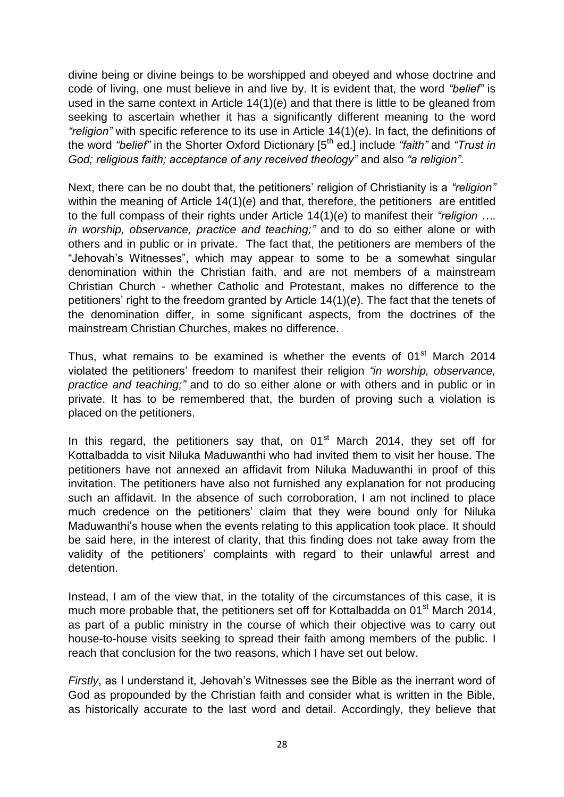divine being or divine beings to be worshipped and obeyed and whose doctrine and code of living, one must believe in and live by. It is evident that, the word *"belief"* is used in the same context in Article 14(1)(*e*) and that there is little to be gleaned from seeking to ascertain whether it has a significantly different meaning to the word *"religion"* with specific reference to its use in Article 14(1)(*e*). In fact, the definitions of the word *"belief"* in the Shorter Oxford Dictionary [5th ed.] include *"faith"* and *"Trust in God; religious faith; acceptance of any received theology"* and also *"a religion"*.

Next, there can be no doubt that, the petitioners' religion of Christianity is a "*religion*" within the meaning of Article 14(1)(*e*) and that, therefore, the petitioners are entitled to the full compass of their rights under Article 14(1)(*e*) to manifest their *"religion …. in worship, observance, practice and teaching;"* and to do so either alone or with others and in public or in private. The fact that, the petitioners are members of the "Jehovah"s Witnesses", which may appear to some to be a somewhat singular denomination within the Christian faith, and are not members of a mainstream Christian Church - whether Catholic and Protestant, makes no difference to the petitioners" right to the freedom granted by Article 14(1)(*e*). The fact that the tenets of the denomination differ, in some significant aspects, from the doctrines of the mainstream Christian Churches, makes no difference.

Thus, what remains to be examined is whether the events of  $01<sup>st</sup>$  March 2014 violated the petitioners" freedom to manifest their religion *"in worship, observance, practice and teaching;"* and to do so either alone or with others and in public or in private. It has to be remembered that, the burden of proving such a violation is placed on the petitioners.

In this regard, the petitioners say that, on  $01<sup>st</sup>$  March 2014, they set off for Kottalbadda to visit Niluka Maduwanthi who had invited them to visit her house. The petitioners have not annexed an affidavit from Niluka Maduwanthi in proof of this invitation. The petitioners have also not furnished any explanation for not producing such an affidavit. In the absence of such corroboration, I am not inclined to place much credence on the petitioners' claim that they were bound only for Niluka Maduwanthi"s house when the events relating to this application took place. It should be said here, in the interest of clarity, that this finding does not take away from the validity of the petitioners" complaints with regard to their unlawful arrest and detention.

Instead, I am of the view that, in the totality of the circumstances of this case, it is much more probable that, the petitioners set off for Kottalbadda on 01 $\mathrm{^{st}}$  March 2014, as part of a public ministry in the course of which their objective was to carry out house-to-house visits seeking to spread their faith among members of the public. I reach that conclusion for the two reasons, which I have set out below.

*Firstly*, as I understand it, Jehovah"s Witnesses see the Bible as the inerrant word of God as propounded by the Christian faith and consider what is written in the Bible, as historically accurate to the last word and detail. Accordingly, they believe that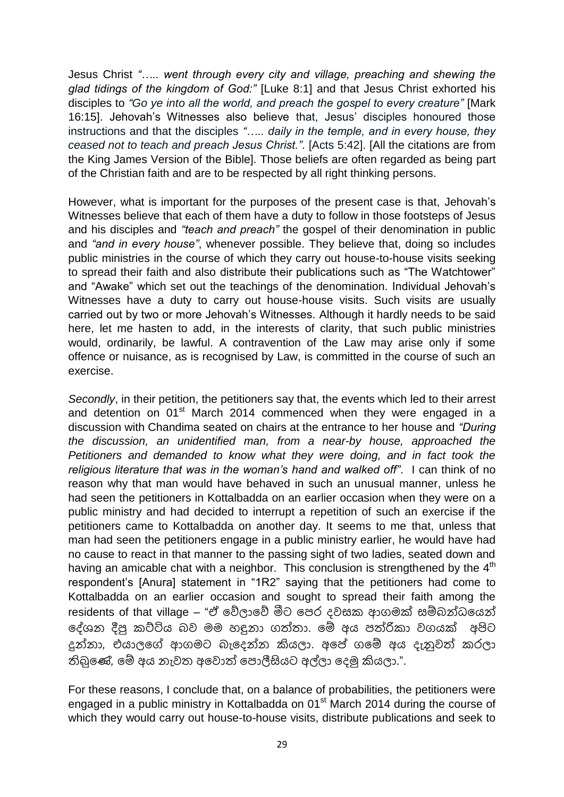Jesus Christ *"….. went through every city and village, preaching and shewing the glad tidings of the kingdom of God:"* [Luke 8:1] and that Jesus Christ exhorted his disciples to *"Go ye into all the world, and preach the gospel to every creature"* [Mark 16:15]. Jehovah"s Witnesses also believe that, Jesus" disciples honoured those instructions and that the disciples *"….. daily in the temple, and in every house, they ceased not to teach and preach Jesus Christ."*. [Acts 5:42]. [All the citations are from the King James Version of the Bible]. Those beliefs are often regarded as being part of the Christian faith and are to be respected by all right thinking persons.

However, what is important for the purposes of the present case is that, Jehovah"s Witnesses believe that each of them have a duty to follow in those footsteps of Jesus and his disciples and *"teach and preach"* the gospel of their denomination in public and *"and in every house"*, whenever possible. They believe that, doing so includes public ministries in the course of which they carry out house-to-house visits seeking to spread their faith and also distribute their publications such as "The Watchtower" and "Awake" which set out the teachings of the denomination. Individual Jehovah"s Witnesses have a duty to carry out house-house visits. Such visits are usually carried out by two or more Jehovah"s Witnesses. Although it hardly needs to be said here, let me hasten to add, in the interests of clarity, that such public ministries would, ordinarily, be lawful. A contravention of the Law may arise only if some offence or nuisance, as is recognised by Law, is committed in the course of such an exercise.

*Secondly*, in their petition, the petitioners say that, the events which led to their arrest and detention on 01<sup>st</sup> March 2014 commenced when they were engaged in a discussion with Chandima seated on chairs at the entrance to her house and *"During the discussion, an unidentified man, from a near-by house, approached the Petitioners and demanded to know what they were doing, and in fact took the religious literature that was in the woman"s hand and walked off"*. I can think of no reason why that man would have behaved in such an unusual manner, unless he had seen the petitioners in Kottalbadda on an earlier occasion when they were on a public ministry and had decided to interrupt a repetition of such an exercise if the petitioners came to Kottalbadda on another day. It seems to me that, unless that man had seen the petitioners engage in a public ministry earlier, he would have had no cause to react in that manner to the passing sight of two ladies, seated down and having an amicable chat with a neighbor. This conclusion is strengthened by the 4<sup>th</sup> respondent"s [Anura] statement in "1R2" saying that the petitioners had come to Kottalbadda on an earlier occasion and sought to spread their faith among the residents of that village – "ඒ වේලාවේ මීට පෙර දවසක ආගමක් සම්බන්ධයෙන් ලේශන දීපු කට්ටිය බව මම හඳුනා ගත්තා. මේ අය පත්රිකා වගයක් අපිට දුන්නා*,* එයාලමේ ආෙෙට බැමදන්න කියලා. අමප් ෙමම් අය දැනුවත් රලා තිබුමේ*,* මම් අය නැවත අමවොත් මඳොලීසියට අල්ලා මදමු කියලා.".

For these reasons, I conclude that, on a balance of probabilities, the petitioners were engaged in a public ministry in Kottalbadda on  $01<sup>st</sup>$  March 2014 during the course of which they would carry out house-to-house visits, distribute publications and seek to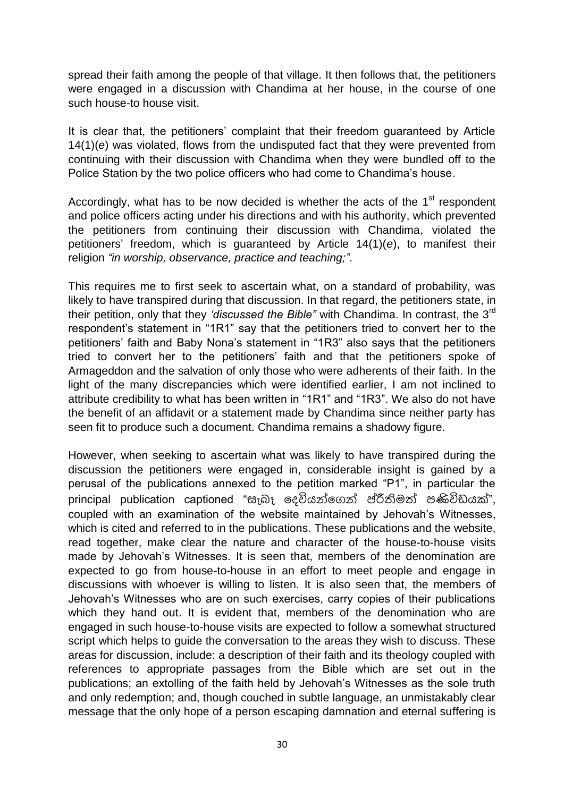spread their faith among the people of that village. It then follows that, the petitioners were engaged in a discussion with Chandima at her house, in the course of one such house-to house visit.

It is clear that, the petitioners" complaint that their freedom guaranteed by Article 14(1)(*e*) was violated, flows from the undisputed fact that they were prevented from continuing with their discussion with Chandima when they were bundled off to the Police Station by the two police officers who had come to Chandima"s house.

Accordingly, what has to be now decided is whether the acts of the 1<sup>st</sup> respondent and police officers acting under his directions and with his authority, which prevented the petitioners from continuing their discussion with Chandima, violated the petitioners" freedom, which is guaranteed by Article 14(1)(*e*), to manifest their religion *"in worship, observance, practice and teaching;"*.

This requires me to first seek to ascertain what, on a standard of probability, was likely to have transpired during that discussion. In that regard, the petitioners state, in their petition, only that they *"discussed the Bible"* with Chandima. In contrast, the 3rd respondent"s statement in "1R1" say that the petitioners tried to convert her to the petitioners" faith and Baby Nona"s statement in "1R3" also says that the petitioners tried to convert her to the petitioners" faith and that the petitioners spoke of Armageddon and the salvation of only those who were adherents of their faith. In the light of the many discrepancies which were identified earlier, I am not inclined to attribute credibility to what has been written in "1R1" and "1R3". We also do not have the benefit of an affidavit or a statement made by Chandima since neither party has seen fit to produce such a document. Chandima remains a shadowy figure.

However, when seeking to ascertain what was likely to have transpired during the discussion the petitioners were engaged in, considerable insight is gained by a perusal of the publications annexed to the petition marked "P1", in particular the principal publication captioned "සැබෑ දෙවියන්ගෙන් ප්රීතිමත් පණිවිඩයක්", coupled with an examination of the website maintained by Jehovah"s Witnesses, which is cited and referred to in the publications. These publications and the website, read together, make clear the nature and character of the house-to-house visits made by Jehovah's Witnesses. It is seen that, members of the denomination are expected to go from house-to-house in an effort to meet people and engage in discussions with whoever is willing to listen. It is also seen that, the members of Jehovah"s Witnesses who are on such exercises, carry copies of their publications which they hand out. It is evident that, members of the denomination who are engaged in such house-to-house visits are expected to follow a somewhat structured script which helps to guide the conversation to the areas they wish to discuss. These areas for discussion, include: a description of their faith and its theology coupled with references to appropriate passages from the Bible which are set out in the publications; an extolling of the faith held by Jehovah"s Witnesses as the sole truth and only redemption; and, though couched in subtle language, an unmistakably clear message that the only hope of a person escaping damnation and eternal suffering is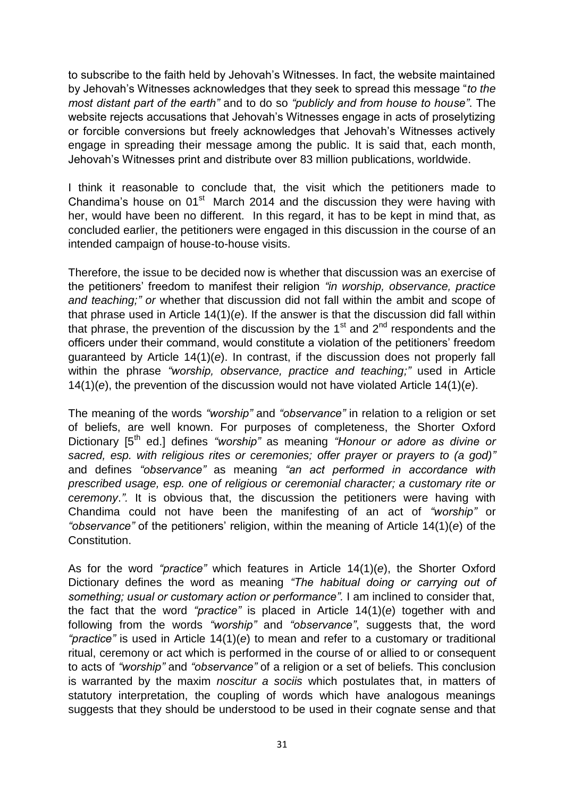to subscribe to the faith held by Jehovah"s Witnesses. In fact, the website maintained by Jehovah"s Witnesses acknowledges that they seek to spread this message "*to the most distant part of the earth"* and to do so *"publicly and from house to house"*. The website rejects accusations that Jehovah's Witnesses engage in acts of proselytizing or forcible conversions but freely acknowledges that Jehovah"s Witnesses actively engage in spreading their message among the public. It is said that, each month, Jehovah"s Witnesses print and distribute over 83 million publications, worldwide.

I think it reasonable to conclude that, the visit which the petitioners made to Chandima's house on  $01<sup>st</sup>$  March 2014 and the discussion they were having with her, would have been no different. In this regard, it has to be kept in mind that, as concluded earlier, the petitioners were engaged in this discussion in the course of an intended campaign of house-to-house visits.

Therefore, the issue to be decided now is whether that discussion was an exercise of the petitioners" freedom to manifest their religion *"in worship, observance, practice and teaching;" or* whether that discussion did not fall within the ambit and scope of that phrase used in Article 14(1)(*e*). If the answer is that the discussion did fall within that phrase, the prevention of the discussion by the  $1<sup>st</sup>$  and  $2<sup>nd</sup>$  respondents and the officers under their command, would constitute a violation of the petitioners" freedom guaranteed by Article 14(1)(*e*). In contrast, if the discussion does not properly fall within the phrase "worship, observance, practice and teaching;" used in Article 14(1)(*e*), the prevention of the discussion would not have violated Article 14(1)(*e*).

The meaning of the words *"worship"* and *"observance"* in relation to a religion or set of beliefs, are well known. For purposes of completeness, the Shorter Oxford Dictionary [5<sup>th</sup> ed.] defines *"worship"* as meaning *"Honour or adore as divine or sacred, esp. with religious rites or ceremonies; offer prayer or prayers to (a god)"* and defines *"observance"* as meaning *"an act performed in accordance with prescribed usage, esp. one of religious or ceremonial character; a customary rite or ceremony*.*".* It is obvious that, the discussion the petitioners were having with Chandima could not have been the manifesting of an act of *"worship"* or *"observance"* of the petitioners" religion, within the meaning of Article 14(1)(*e*) of the Constitution.

As for the word *"practice"* which features in Article 14(1)(*e*), the Shorter Oxford Dictionary defines the word as meaning *"The habitual doing or carrying out of something; usual or customary action or performance".* I am inclined to consider that, the fact that the word *"practice"* is placed in Article 14(1)(*e*) together with and following from the words *"worship"* and *"observance"*, suggests that, the word *"practice"* is used in Article 14(1)(*e*) to mean and refer to a customary or traditional ritual, ceremony or act which is performed in the course of or allied to or consequent to acts of *"worship"* and *"observance"* of a religion or a set of beliefs. This conclusion is warranted by the maxim *noscitur a sociis* which postulates that, in matters of statutory interpretation, the coupling of words which have analogous meanings suggests that they should be understood to be used in their cognate sense and that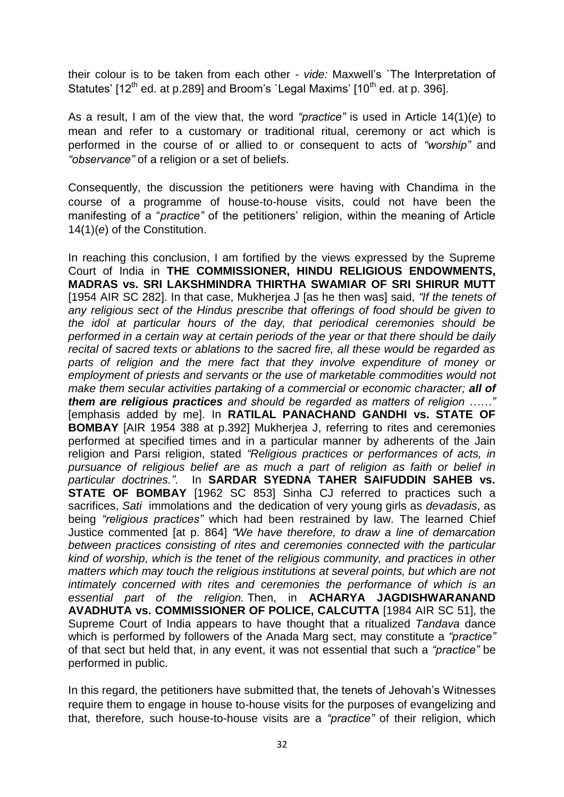their colour is to be taken from each other - *vide:* Maxwell"s `The Interpretation of Statutes'  $[12^{th}$  ed. at p.289] and Broom's `Legal Maxims'  $[10^{th}$  ed. at p. 396].

As a result, I am of the view that, the word *"practice"* is used in Article 14(1)(*e*) to mean and refer to a customary or traditional ritual, ceremony or act which is performed in the course of or allied to or consequent to acts of *"worship"* and *"observance"* of a religion or a set of beliefs.

Consequently, the discussion the petitioners were having with Chandima in the course of a programme of house-to-house visits, could not have been the manifesting of a "*practice"* of the petitioners" religion, within the meaning of Article 14(1)(*e*) of the Constitution.

In reaching this conclusion, I am fortified by the views expressed by the Supreme Court of India in **THE COMMISSIONER, HINDU RELIGIOUS ENDOWMENTS, MADRAS vs. SRI LAKSHMINDRA THIRTHA SWAMIAR OF SRI SHIRUR MUTT** [1954 AIR SC 282]. In that case, Mukherjea J [as he then was] said, *"If the tenets of any religious sect of the Hindus prescribe that offerings of food should be given to the idol at particular hours of the day, that periodical ceremonies should be performed in a certain way at certain periods of the year or that there should be daily recital of sacred texts or ablations to the sacred fire, all these would be regarded as*  parts of religion and the mere fact that they involve expenditure of money or *employment of priests and servants or the use of marketable commodities would not make them secular activities partaking of a commercial or economic character; all of them are religious practices and should be regarded as matters of religion ……"* [emphasis added by me]. In **RATILAL PANACHAND GANDHI vs. STATE OF BOMBAY** [AIR 1954 388 at p.392] Mukherjea J, referring to rites and ceremonies performed at specified times and in a particular manner by adherents of the Jain religion and Parsi religion, stated *"Religious practices or performances of acts, in pursuance of religious belief are as much a part of religion as faith or belief in particular doctrines."*. In **SARDAR SYEDNA TAHER SAIFUDDIN SAHEB vs. STATE OF BOMBAY** [1962 SC 853] Sinha CJ referred to practices such a sacrifices, *Sati* immolations and the dedication of very young girls as *devadasis*, as being *"religious practices"* which had been restrained by law. The learned Chief Justice commented [at p. 864] *"We have therefore, to draw a line of demarcation between practices consisting of rites and ceremonies connected with the particular kind of worship, which is the tenet of the religious community, and practices in other matters which may touch the religious institutions at several points, but which are not intimately concerned with rites and ceremonies the performance of which is an essential part of the religion.* Then, in **ACHARYA JAGDISHWARANAND AVADHUTA vs. COMMISSIONER OF POLICE, CALCUTTA** [1984 AIR SC 51], the Supreme Court of India appears to have thought that a ritualized *Tandava* dance which is performed by followers of the Anada Marg sect, may constitute a *"practice"* of that sect but held that, in any event, it was not essential that such a *"practice"* be performed in public.

In this regard, the petitioners have submitted that, the tenets of Jehovah"s Witnesses require them to engage in house to-house visits for the purposes of evangelizing and that, therefore, such house-to-house visits are a *"practice"* of their religion, which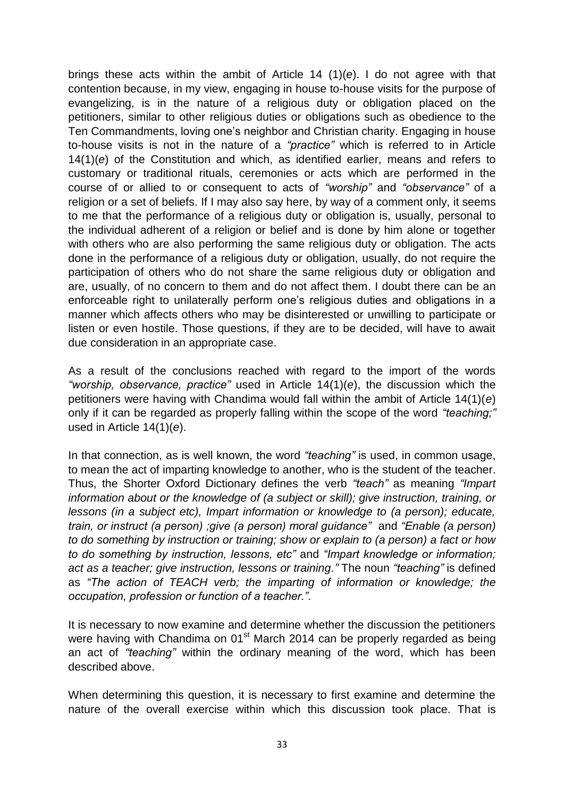brings these acts within the ambit of Article 14 (1)(*e*). I do not agree with that contention because, in my view, engaging in house to-house visits for the purpose of evangelizing, is in the nature of a religious duty or obligation placed on the petitioners, similar to other religious duties or obligations such as obedience to the Ten Commandments, loving one"s neighbor and Christian charity. Engaging in house to-house visits is not in the nature of a *"practice"* which is referred to in Article 14(1)(*e*) of the Constitution and which, as identified earlier, means and refers to customary or traditional rituals, ceremonies or acts which are performed in the course of or allied to or consequent to acts of *"worship"* and *"observance"* of a religion or a set of beliefs. If I may also say here, by way of a comment only, it seems to me that the performance of a religious duty or obligation is, usually, personal to the individual adherent of a religion or belief and is done by him alone or together with others who are also performing the same religious duty or obligation. The acts done in the performance of a religious duty or obligation, usually, do not require the participation of others who do not share the same religious duty or obligation and are, usually, of no concern to them and do not affect them. I doubt there can be an enforceable right to unilaterally perform one"s religious duties and obligations in a manner which affects others who may be disinterested or unwilling to participate or listen or even hostile. Those questions, if they are to be decided, will have to await due consideration in an appropriate case.

As a result of the conclusions reached with regard to the import of the words *"worship, observance, practice"* used in Article 14(1)(*e*), the discussion which the petitioners were having with Chandima would fall within the ambit of Article 14(1)(*e*) only if it can be regarded as properly falling within the scope of the word *"teaching;"*  used in Article 14(1)(*e*).

In that connection, as is well known, the word *"teaching"* is used, in common usage, to mean the act of imparting knowledge to another, who is the student of the teacher. Thus, the Shorter Oxford Dictionary defines the verb *"teach"* as meaning *"Impart information about or the knowledge of (a subject or skill); give instruction, training, or lessons (in a subject etc), Impart information or knowledge to (a person); educate, train, or instruct (a person) ;give (a person) moral guidance"* and *"Enable (a person) to do something by instruction or training; show or explain to (a person) a fact or how to do something by instruction, lessons, etc"* and *"Impart knowledge or information; act as a teacher; give instruction, lessons or training."* The noun *"teaching"* is defined as *"The action of TEACH verb; the imparting of information or knowledge; the occupation, profession or function of a teacher."*.

It is necessary to now examine and determine whether the discussion the petitioners were having with Chandima on 01<sup>st</sup> March 2014 can be properly regarded as being an act of *"teaching"* within the ordinary meaning of the word, which has been described above.

When determining this question, it is necessary to first examine and determine the nature of the overall exercise within which this discussion took place. That is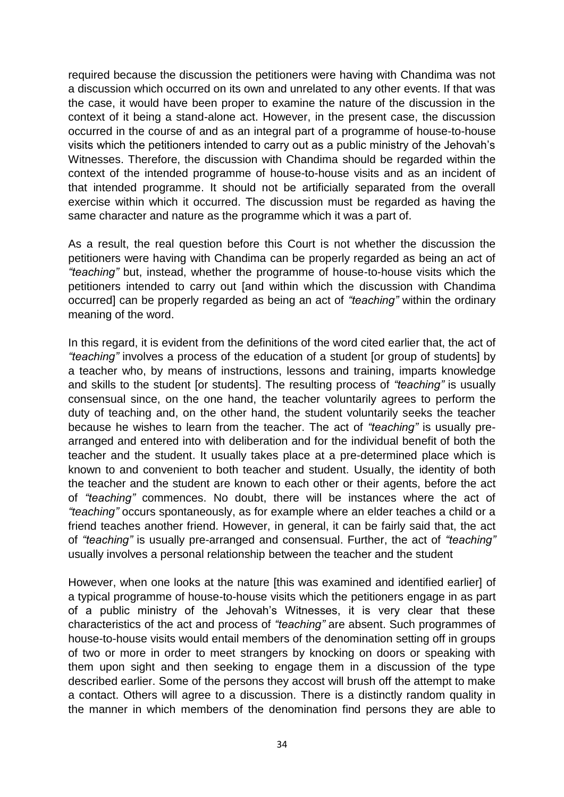required because the discussion the petitioners were having with Chandima was not a discussion which occurred on its own and unrelated to any other events. If that was the case, it would have been proper to examine the nature of the discussion in the context of it being a stand-alone act. However, in the present case, the discussion occurred in the course of and as an integral part of a programme of house-to-house visits which the petitioners intended to carry out as a public ministry of the Jehovah"s Witnesses. Therefore, the discussion with Chandima should be regarded within the context of the intended programme of house-to-house visits and as an incident of that intended programme. It should not be artificially separated from the overall exercise within which it occurred. The discussion must be regarded as having the same character and nature as the programme which it was a part of.

As a result, the real question before this Court is not whether the discussion the petitioners were having with Chandima can be properly regarded as being an act of *"teaching"* but, instead, whether the programme of house-to-house visits which the petitioners intended to carry out [and within which the discussion with Chandima occurred] can be properly regarded as being an act of *"teaching"* within the ordinary meaning of the word.

In this regard, it is evident from the definitions of the word cited earlier that, the act of *"teaching"* involves a process of the education of a student [or group of students] by a teacher who, by means of instructions, lessons and training, imparts knowledge and skills to the student [or students]. The resulting process of *"teaching"* is usually consensual since, on the one hand, the teacher voluntarily agrees to perform the duty of teaching and, on the other hand, the student voluntarily seeks the teacher because he wishes to learn from the teacher. The act of *"teaching"* is usually prearranged and entered into with deliberation and for the individual benefit of both the teacher and the student. It usually takes place at a pre-determined place which is known to and convenient to both teacher and student. Usually, the identity of both the teacher and the student are known to each other or their agents, before the act of *"teaching"* commences. No doubt, there will be instances where the act of *"teaching"* occurs spontaneously, as for example where an elder teaches a child or a friend teaches another friend. However, in general, it can be fairly said that, the act of *"teaching"* is usually pre-arranged and consensual. Further, the act of *"teaching"*  usually involves a personal relationship between the teacher and the student

However, when one looks at the nature [this was examined and identified earlier] of a typical programme of house-to-house visits which the petitioners engage in as part of a public ministry of the Jehovah's Witnesses, it is very clear that these characteristics of the act and process of *"teaching"* are absent. Such programmes of house-to-house visits would entail members of the denomination setting off in groups of two or more in order to meet strangers by knocking on doors or speaking with them upon sight and then seeking to engage them in a discussion of the type described earlier. Some of the persons they accost will brush off the attempt to make a contact. Others will agree to a discussion. There is a distinctly random quality in the manner in which members of the denomination find persons they are able to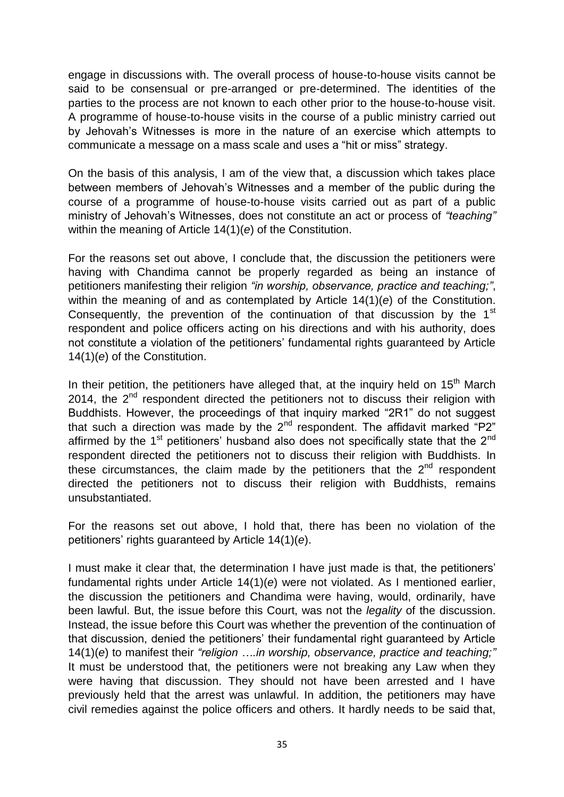engage in discussions with. The overall process of house-to-house visits cannot be said to be consensual or pre-arranged or pre-determined. The identities of the parties to the process are not known to each other prior to the house-to-house visit. A programme of house-to-house visits in the course of a public ministry carried out by Jehovah"s Witnesses is more in the nature of an exercise which attempts to communicate a message on a mass scale and uses a "hit or miss" strategy.

On the basis of this analysis, I am of the view that, a discussion which takes place between members of Jehovah"s Witnesses and a member of the public during the course of a programme of house-to-house visits carried out as part of a public ministry of Jehovah"s Witnesses, does not constitute an act or process of *"teaching"* within the meaning of Article 14(1)(*e*) of the Constitution.

For the reasons set out above, I conclude that, the discussion the petitioners were having with Chandima cannot be properly regarded as being an instance of petitioners manifesting their religion *"in worship, observance, practice and teaching;"*, within the meaning of and as contemplated by Article 14(1)(*e*) of the Constitution. Consequently, the prevention of the continuation of that discussion by the 1<sup>st</sup> respondent and police officers acting on his directions and with his authority, does not constitute a violation of the petitioners" fundamental rights guaranteed by Article 14(1)(*e*) of the Constitution.

In their petition, the petitioners have alleged that, at the inquiry held on  $15<sup>th</sup>$  March 2014, the  $2^{nd}$  respondent directed the petitioners not to discuss their religion with Buddhists. However, the proceedings of that inquiry marked "2R1" do not suggest that such a direction was made by the  $2^{nd}$  respondent. The affidavit marked "P2" affirmed by the  $1<sup>st</sup>$  petitioners' husband also does not specifically state that the  $2<sup>nd</sup>$ respondent directed the petitioners not to discuss their religion with Buddhists. In these circumstances, the claim made by the petitioners that the  $2<sup>nd</sup>$  respondent directed the petitioners not to discuss their religion with Buddhists, remains unsubstantiated.

For the reasons set out above, I hold that, there has been no violation of the petitioners" rights guaranteed by Article 14(1)(*e*).

I must make it clear that, the determination I have just made is that, the petitioners" fundamental rights under Article 14(1)(*e*) were not violated. As I mentioned earlier, the discussion the petitioners and Chandima were having, would, ordinarily, have been lawful. But, the issue before this Court, was not the *legality* of the discussion. Instead, the issue before this Court was whether the prevention of the continuation of that discussion, denied the petitioners" their fundamental right guaranteed by Article 14(1)(*e*) to manifest their *"religion ….in worship, observance, practice and teaching;"* It must be understood that, the petitioners were not breaking any Law when they were having that discussion. They should not have been arrested and I have previously held that the arrest was unlawful. In addition, the petitioners may have civil remedies against the police officers and others. It hardly needs to be said that,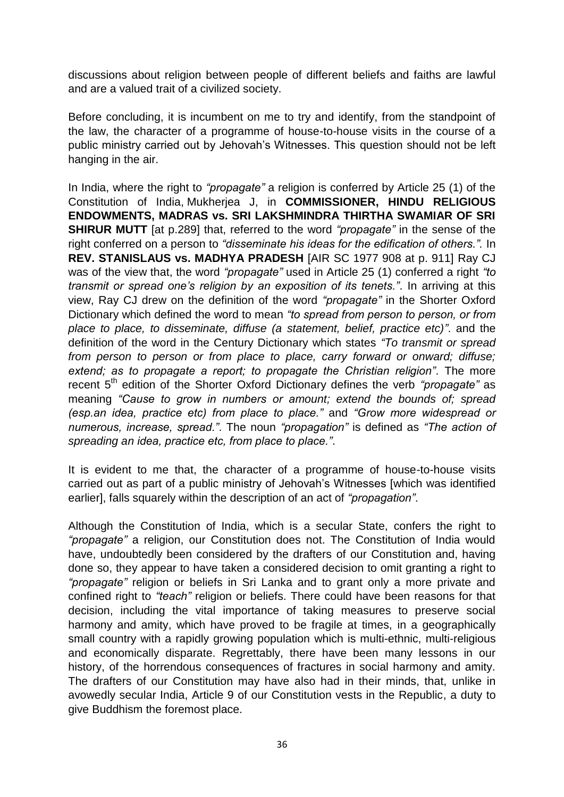discussions about religion between people of different beliefs and faiths are lawful and are a valued trait of a civilized society.

Before concluding, it is incumbent on me to try and identify, from the standpoint of the law, the character of a programme of house-to-house visits in the course of a public ministry carried out by Jehovah"s Witnesses. This question should not be left hanging in the air.

In India, where the right to *"propagate"* a religion is conferred by Article 25 (1) of the Constitution of India, Mukherjea J, in **COMMISSIONER, HINDU RELIGIOUS ENDOWMENTS, MADRAS vs. SRI LAKSHMINDRA THIRTHA SWAMIAR OF SRI SHIRUR MUTT** [at p.289] that, referred to the word *"propagate"* in the sense of the right conferred on a person to *"disseminate his ideas for the edification of others.".* In **REV. STANISLAUS vs. MADHYA PRADESH** [AIR SC 1977 908 at p. 911] Ray CJ was of the view that, the word *"propagate"* used in Article 25 (1) conferred a right *"to transmit or spread one"s religion by an exposition of its tenets."*. In arriving at this view, Ray CJ drew on the definition of the word *"propagate"* in the Shorter Oxford Dictionary which defined the word to mean *"to spread from person to person, or from place to place, to disseminate, diffuse (a statement, belief, practice etc)"*. and the definition of the word in the Century Dictionary which states *"To transmit or spread from person to person or from place to place, carry forward or onward; diffuse; extend; as to propagate a report; to propagate the Christian religion"*. The more recent 5th edition of the Shorter Oxford Dictionary defines the verb *"propagate"* as meaning *"Cause to grow in numbers or amount; extend the bounds of; spread (esp.an idea, practice etc) from place to place."* and *"Grow more widespread or numerous, increase, spread."*. The noun *"propagation"* is defined as *"The action of spreading an idea, practice etc, from place to place."*.

It is evident to me that, the character of a programme of house-to-house visits carried out as part of a public ministry of Jehovah"s Witnesses [which was identified earlier], falls squarely within the description of an act of *"propagation"*.

Although the Constitution of India, which is a secular State, confers the right to *"propagate"* a religion, our Constitution does not. The Constitution of India would have, undoubtedly been considered by the drafters of our Constitution and, having done so, they appear to have taken a considered decision to omit granting a right to *"propagate"* religion or beliefs in Sri Lanka and to grant only a more private and confined right to *"teach"* religion or beliefs. There could have been reasons for that decision, including the vital importance of taking measures to preserve social harmony and amity, which have proved to be fragile at times, in a geographically small country with a rapidly growing population which is multi-ethnic, multi-religious and economically disparate. Regrettably, there have been many lessons in our history, of the horrendous consequences of fractures in social harmony and amity. The drafters of our Constitution may have also had in their minds, that, unlike in avowedly secular India, Article 9 of our Constitution vests in the Republic, a duty to give Buddhism the foremost place.